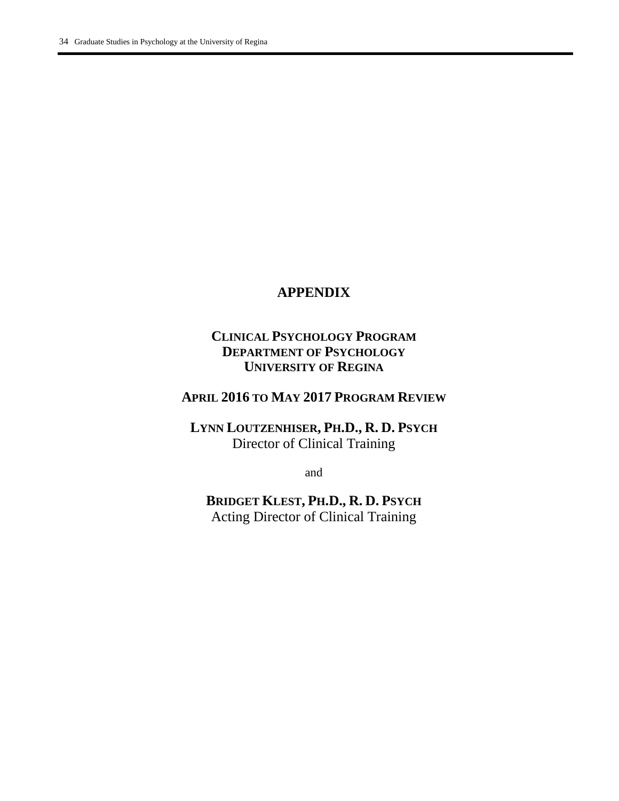# **APPENDIX**

# **CLINICAL PSYCHOLOGY PROGRAM DEPARTMENT OF PSYCHOLOGY UNIVERSITY OF REGINA**

# **APRIL 2016 TO MAY 2017 PROGRAM REVIEW**

**LYNN LOUTZENHISER, PH.D., R. D. PSYCH** Director of Clinical Training

and

**BRIDGET KLEST, PH.D., R. D. PSYCH** Acting Director of Clinical Training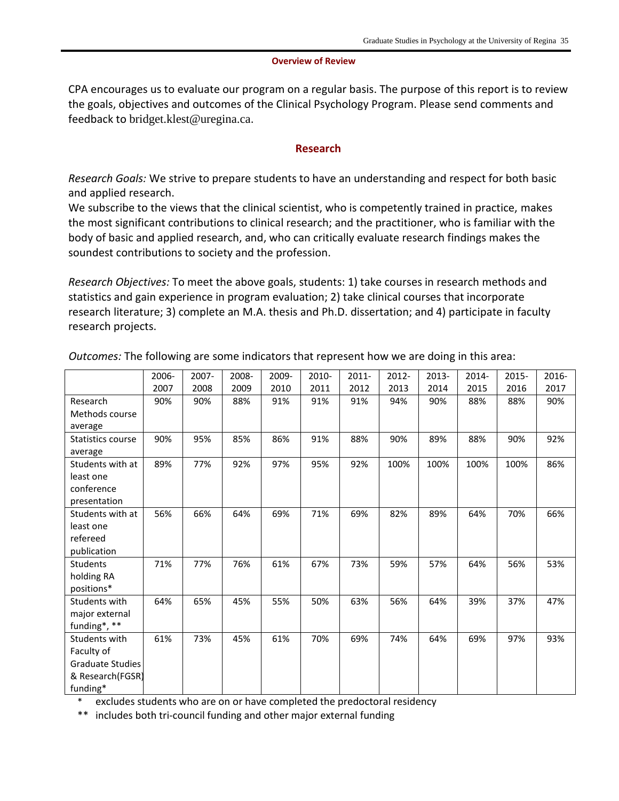#### **Overview of Review**

CPA encourages us to evaluate our program on a regular basis. The purpose of this report is to review the goals, objectives and outcomes of the Clinical Psychology Program. Please send comments and feedback to [bridget.klest@uregina.ca](mailto:bridget.klest@uregina.ca).

#### **Research**

*Research Goals:* We strive to prepare students to have an understanding and respect for both basic and applied research.

We subscribe to the views that the clinical scientist, who is competently trained in practice, makes the most significant contributions to clinical research; and the practitioner, who is familiar with the body of basic and applied research, and, who can critically evaluate research findings makes the soundest contributions to society and the profession.

*Research Objectives:* To meet the above goals, students: 1) take courses in research methods and statistics and gain experience in program evaluation; 2) take clinical courses that incorporate research literature; 3) complete an M.A. thesis and Ph.D. dissertation; and 4) participate in faculty research projects.

|                         | 2006- | 2007- | 2008- | 2009- | 2010- | 2011- | 2012- | 2013- | 2014- | 2015- | 2016- |
|-------------------------|-------|-------|-------|-------|-------|-------|-------|-------|-------|-------|-------|
|                         | 2007  | 2008  | 2009  | 2010  | 2011  | 2012  | 2013  | 2014  | 2015  | 2016  | 2017  |
| Research                | 90%   | 90%   | 88%   | 91%   | 91%   | 91%   | 94%   | 90%   | 88%   | 88%   | 90%   |
| Methods course          |       |       |       |       |       |       |       |       |       |       |       |
| average                 |       |       |       |       |       |       |       |       |       |       |       |
| Statistics course       | 90%   | 95%   | 85%   | 86%   | 91%   | 88%   | 90%   | 89%   | 88%   | 90%   | 92%   |
| average                 |       |       |       |       |       |       |       |       |       |       |       |
| Students with at        | 89%   | 77%   | 92%   | 97%   | 95%   | 92%   | 100%  | 100%  | 100%  | 100%  | 86%   |
| least one               |       |       |       |       |       |       |       |       |       |       |       |
| conference              |       |       |       |       |       |       |       |       |       |       |       |
| presentation            |       |       |       |       |       |       |       |       |       |       |       |
| Students with at        | 56%   | 66%   | 64%   | 69%   | 71%   | 69%   | 82%   | 89%   | 64%   | 70%   | 66%   |
| least one               |       |       |       |       |       |       |       |       |       |       |       |
| refereed                |       |       |       |       |       |       |       |       |       |       |       |
| publication             |       |       |       |       |       |       |       |       |       |       |       |
| <b>Students</b>         | 71%   | 77%   | 76%   | 61%   | 67%   | 73%   | 59%   | 57%   | 64%   | 56%   | 53%   |
| holding RA              |       |       |       |       |       |       |       |       |       |       |       |
| positions*              |       |       |       |       |       |       |       |       |       |       |       |
| Students with           | 64%   | 65%   | 45%   | 55%   | 50%   | 63%   | 56%   | 64%   | 39%   | 37%   | 47%   |
| major external          |       |       |       |       |       |       |       |       |       |       |       |
| funding*, **            |       |       |       |       |       |       |       |       |       |       |       |
| Students with           | 61%   | 73%   | 45%   | 61%   | 70%   | 69%   | 74%   | 64%   | 69%   | 97%   | 93%   |
| Faculty of              |       |       |       |       |       |       |       |       |       |       |       |
| <b>Graduate Studies</b> |       |       |       |       |       |       |       |       |       |       |       |
| & Research(FGSR)        |       |       |       |       |       |       |       |       |       |       |       |
| funding*                |       |       |       |       |       |       |       |       |       |       |       |

*Outcomes:* The following are some indicators that represent how we are doing in this area:

excludes students who are on or have completed the predoctoral residency

\*\* includes both tri-council funding and other major external funding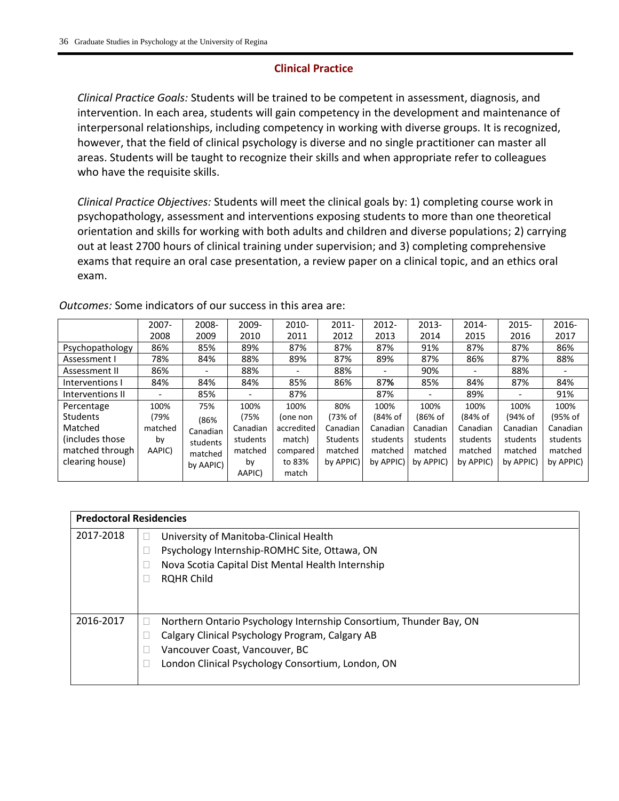## **Clinical Practice**

*Clinical Practice Goals:* Students will be trained to be competent in assessment, diagnosis, and intervention. In each area, students will gain competency in the development and maintenance of interpersonal relationships, including competency in working with diverse groups. It is recognized, however, that the field of clinical psychology is diverse and no single practitioner can master all areas. Students will be taught to recognize their skills and when appropriate refer to colleagues who have the requisite skills.

*Clinical Practice Objectives:* Students will meet the clinical goals by: 1) completing course work in psychopathology, assessment and interventions exposing students to more than one theoretical orientation and skills for working with both adults and children and diverse populations; 2) carrying out at least 2700 hours of clinical training under supervision; and 3) completing comprehensive exams that require an oral case presentation, a review paper on a clinical topic, and an ethics oral exam.

|                  | $2007 -$ | 2008-                    | 2009-                    | 2010-      | $2011 -$        | $2012 -$  | 2013-     | $2014 -$  | $2015 -$  | 2016-     |
|------------------|----------|--------------------------|--------------------------|------------|-----------------|-----------|-----------|-----------|-----------|-----------|
|                  | 2008     | 2009                     | 2010                     | 2011       | 2012            | 2013      | 2014      | 2015      | 2016      | 2017      |
| Psychopathology  | 86%      | 85%                      | 89%                      | 87%        | 87%             | 87%       | 91%       | 87%       | 87%       | 86%       |
| Assessment I     | 78%      | 84%                      | 88%                      | 89%        | 87%             | 89%       | 87%       | 86%       | 87%       | 88%       |
| Assessment II    | 86%      | $\overline{\phantom{0}}$ | 88%                      |            | 88%             | -         | 90%       | -         | 88%       |           |
| Interventions I  | 84%      | 84%                      | 84%                      | 85%        | 86%             | 87%       | 85%       | 84%       | 87%       | 84%       |
| Interventions II |          | 85%                      | $\overline{\phantom{a}}$ | 87%        |                 | 87%       |           | 89%       |           | 91%       |
| Percentage       | 100%     | 75%                      | 100%                     | 100%       | 80%             | 100%      | 100%      | 100%      | 100%      | 100%      |
| <b>Students</b>  | (79%     | (86%                     | (75%                     | (one non   | (73% of         | (84% of   | (86% of   | (84% of   | (94% of   | (95% of   |
| Matched          | matched  | Canadian                 | Canadian                 | accredited | Canadian        | Canadian  | Canadian  | Canadian  | Canadian  | Canadian  |
| (includes those) | by       | students                 | students                 | match)     | <b>Students</b> | students  | students  | students  | students  | students  |
| matched through  | AAPIC)   | matched                  | matched                  | compared   | matched         | matched   | matched   | matched   | matched   | matched   |
| clearing house)  |          | by AAPIC)                | by                       | to 83%     | by APPIC)       | by APPIC) | by APPIC) | by APPIC) | by APPIC) | by APPIC) |
|                  |          |                          | AAPIC)                   | match      |                 |           |           |           |           |           |

*Outcomes:* Some indicators of our success in this area are:

| <b>Predoctoral Residencies</b> |                                                                    |
|--------------------------------|--------------------------------------------------------------------|
| 2017-2018                      | University of Manitoba-Clinical Health                             |
|                                | Psychology Internship-ROMHC Site, Ottawa, ON                       |
|                                | Nova Scotia Capital Dist Mental Health Internship                  |
|                                | <b>RQHR Child</b>                                                  |
|                                |                                                                    |
| 2016-2017                      | Northern Ontario Psychology Internship Consortium, Thunder Bay, ON |
|                                |                                                                    |
|                                | Calgary Clinical Psychology Program, Calgary AB                    |
|                                | Vancouver Coast, Vancouver, BC                                     |
|                                | London Clinical Psychology Consortium, London, ON                  |
|                                |                                                                    |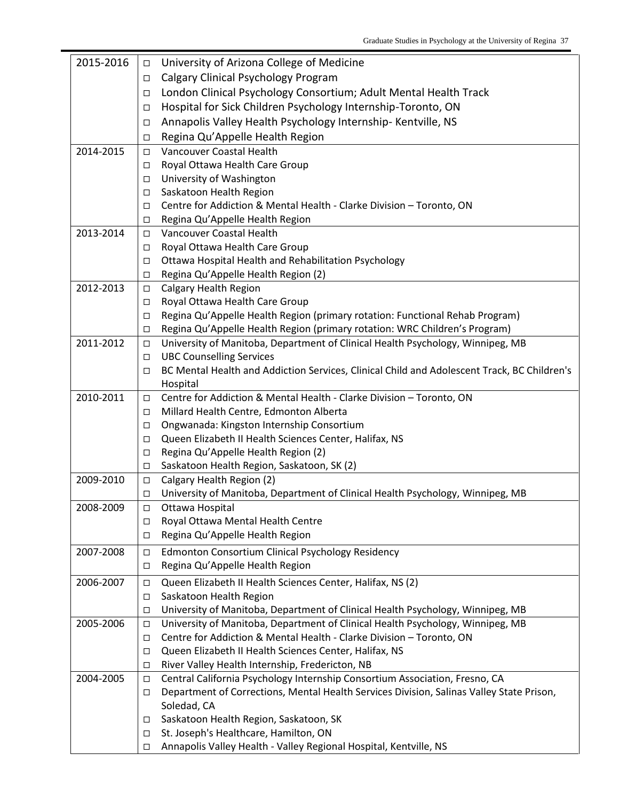| 2015-2016 | $\Box$      | University of Arizona College of Medicine                                                                   |
|-----------|-------------|-------------------------------------------------------------------------------------------------------------|
|           | □           | Calgary Clinical Psychology Program                                                                         |
|           | □           | London Clinical Psychology Consortium; Adult Mental Health Track                                            |
|           | □           | Hospital for Sick Children Psychology Internship-Toronto, ON                                                |
|           | □           | Annapolis Valley Health Psychology Internship- Kentville, NS                                                |
|           | □           | Regina Qu'Appelle Health Region                                                                             |
| 2014-2015 | □           | Vancouver Coastal Health                                                                                    |
|           | □           | Royal Ottawa Health Care Group                                                                              |
|           | □           | University of Washington                                                                                    |
|           | □           | Saskatoon Health Region                                                                                     |
|           | □           | Centre for Addiction & Mental Health - Clarke Division - Toronto, ON                                        |
|           | □           | Regina Qu'Appelle Health Region                                                                             |
| 2013-2014 | □           | Vancouver Coastal Health                                                                                    |
|           | □           | Royal Ottawa Health Care Group                                                                              |
|           | □           | Ottawa Hospital Health and Rehabilitation Psychology                                                        |
|           | □           | Regina Qu'Appelle Health Region (2)                                                                         |
| 2012-2013 | $\Box$      | Calgary Health Region                                                                                       |
|           | □           | Royal Ottawa Health Care Group                                                                              |
|           | □           | Regina Qu'Appelle Health Region (primary rotation: Functional Rehab Program)                                |
|           | □           | Regina Qu'Appelle Health Region (primary rotation: WRC Children's Program)                                  |
| 2011-2012 | $\Box$      | University of Manitoba, Department of Clinical Health Psychology, Winnipeg, MB                              |
|           | □           | <b>UBC Counselling Services</b>                                                                             |
|           | □           | BC Mental Health and Addiction Services, Clinical Child and Adolescent Track, BC Children's                 |
|           |             | Hospital                                                                                                    |
| 2010-2011 | □           | Centre for Addiction & Mental Health - Clarke Division - Toronto, ON                                        |
|           | $\Box$      | Millard Health Centre, Edmonton Alberta                                                                     |
|           | □           | Ongwanada: Kingston Internship Consortium                                                                   |
|           | $\Box$      | Queen Elizabeth II Health Sciences Center, Halifax, NS                                                      |
|           | □           | Regina Qu'Appelle Health Region (2)                                                                         |
| 2009-2010 | □           | Saskatoon Health Region, Saskatoon, SK (2)                                                                  |
|           | $\Box$      | Calgary Health Region (2)<br>University of Manitoba, Department of Clinical Health Psychology, Winnipeg, MB |
| 2008-2009 | □<br>$\Box$ | Ottawa Hospital                                                                                             |
|           | □           | Royal Ottawa Mental Health Centre                                                                           |
|           | □           | Regina Qu'Appelle Health Region                                                                             |
|           |             |                                                                                                             |
| 2007-2008 | $\Box$      | Edmonton Consortium Clinical Psychology Residency                                                           |
|           | □           | Regina Qu'Appelle Health Region                                                                             |
| 2006-2007 | $\Box$      | Queen Elizabeth II Health Sciences Center, Halifax, NS (2)                                                  |
|           | □           | Saskatoon Health Region                                                                                     |
|           | $\Box$      | University of Manitoba, Department of Clinical Health Psychology, Winnipeg, MB                              |
| 2005-2006 | □           | University of Manitoba, Department of Clinical Health Psychology, Winnipeg, MB                              |
|           | □           | Centre for Addiction & Mental Health - Clarke Division - Toronto, ON                                        |
|           | $\Box$      | Queen Elizabeth II Health Sciences Center, Halifax, NS                                                      |
|           | □           | River Valley Health Internship, Fredericton, NB                                                             |
| 2004-2005 | $\Box$      | Central California Psychology Internship Consortium Association, Fresno, CA                                 |
|           | □           | Department of Corrections, Mental Health Services Division, Salinas Valley State Prison,                    |
|           |             | Soledad, CA                                                                                                 |
|           | □           | Saskatoon Health Region, Saskatoon, SK<br>St. Joseph's Healthcare, Hamilton, ON                             |
|           | □           | Annapolis Valley Health - Valley Regional Hospital, Kentville, NS                                           |
|           | □           |                                                                                                             |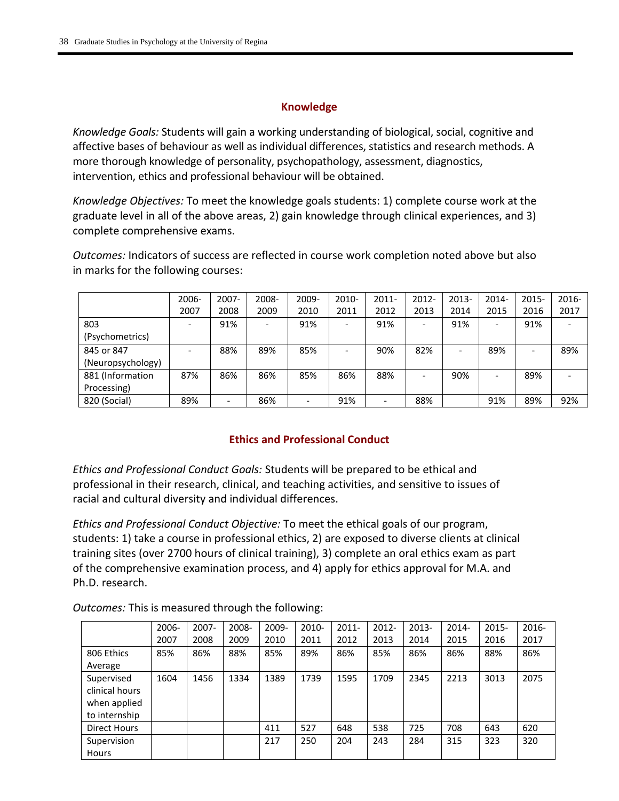### **Knowledge**

*Knowledge Goals:* Students will gain a working understanding of biological, social, cognitive and affective bases of behaviour as well as individual differences, statistics and research methods. A more thorough knowledge of personality, psychopathology, assessment, diagnostics, intervention, ethics and professional behaviour will be obtained.

*Knowledge Objectives:* To meet the knowledge goals students: 1) complete course work at the graduate level in all of the above areas, 2) gain knowledge through clinical experiences, and 3) complete comprehensive exams.

*Outcomes:* Indicators of success are reflected in course work completion noted above but also in marks for the following courses:

|                   | 2006-           | 2007- | 2008- | 2009- | 2010-                    | $2011 -$ | $2012 -$                 | $2013 -$ | 2014-                    | $2015 -$ | $2016 -$ |
|-------------------|-----------------|-------|-------|-------|--------------------------|----------|--------------------------|----------|--------------------------|----------|----------|
|                   | 2007            | 2008  | 2009  | 2010  | 2011                     | 2012     | 2013                     | 2014     | 2015                     | 2016     | 2017     |
| 803               |                 | 91%   |       | 91%   | $\overline{\phantom{a}}$ | 91%      | $\overline{\phantom{a}}$ | 91%      | $\overline{\phantom{a}}$ | 91%      |          |
| (Psychometrics)   |                 |       |       |       |                          |          |                          |          |                          |          |          |
| 845 or 847        | $\qquad \qquad$ | 88%   | 89%   | 85%   | -                        | 90%      | 82%                      |          | 89%                      |          | 89%      |
| (Neuropsychology) |                 |       |       |       |                          |          |                          |          |                          |          |          |
| 881 (Information  | 87%             | 86%   | 86%   | 85%   | 86%                      | 88%      |                          | 90%      |                          | 89%      |          |
| Processing)       |                 |       |       |       |                          |          |                          |          |                          |          |          |
| 820 (Social)      | 89%             |       | 86%   |       | 91%                      |          | 88%                      |          | 91%                      | 89%      | 92%      |

## **Ethics and Professional Conduct**

*Ethics and Professional Conduct Goals:* Students will be prepared to be ethical and professional in their research, clinical, and teaching activities, and sensitive to issues of racial and cultural diversity and individual differences.

*Ethics and Professional Conduct Objective:* To meet the ethical goals of our program, students: 1) take a course in professional ethics, 2) are exposed to diverse clients at clinical training sites (over 2700 hours of clinical training), 3) complete an oral ethics exam as part of the comprehensive examination process, and 4) apply for ethics approval for M.A. and Ph.D. research.

*Outcomes:* This is measured through the following:

|                     | 2006- | 2007- | 2008- | 2009- | 2010- | $2011 -$ | $2012 -$ | 2013- | 2014- | $2015 -$ | $2016 -$ |
|---------------------|-------|-------|-------|-------|-------|----------|----------|-------|-------|----------|----------|
|                     | 2007  | 2008  | 2009  | 2010  | 2011  | 2012     | 2013     | 2014  | 2015  | 2016     | 2017     |
| 806 Ethics          | 85%   | 86%   | 88%   | 85%   | 89%   | 86%      | 85%      | 86%   | 86%   | 88%      | 86%      |
| Average             |       |       |       |       |       |          |          |       |       |          |          |
| Supervised          | 1604  | 1456  | 1334  | 1389  | 1739  | 1595     | 1709     | 2345  | 2213  | 3013     | 2075     |
| clinical hours      |       |       |       |       |       |          |          |       |       |          |          |
| when applied        |       |       |       |       |       |          |          |       |       |          |          |
| to internship       |       |       |       |       |       |          |          |       |       |          |          |
| <b>Direct Hours</b> |       |       |       | 411   | 527   | 648      | 538      | 725   | 708   | 643      | 620      |
| Supervision         |       |       |       | 217   | 250   | 204      | 243      | 284   | 315   | 323      | 320      |
| Hours               |       |       |       |       |       |          |          |       |       |          |          |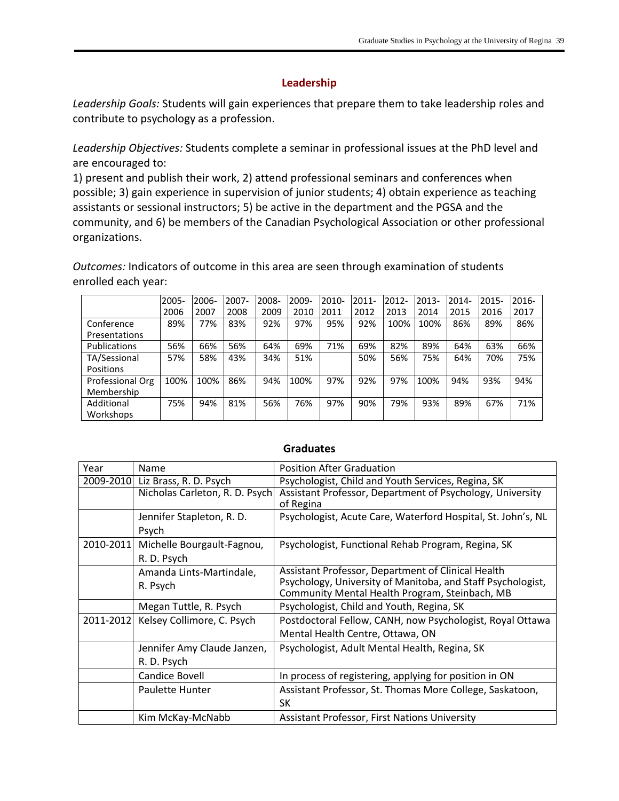#### **Leadership**

*Leadership Goals:* Students will gain experiences that prepare them to take leadership roles and contribute to psychology as a profession.

*Leadership Objectives:* Students complete a seminar in professional issues at the PhD level and are encouraged to:

1) present and publish their work, 2) attend professional seminars and conferences when possible; 3) gain experience in supervision of junior students; 4) obtain experience as teaching assistants or sessional instructors; 5) be active in the department and the PGSA and the community, and 6) be members of the Canadian Psychological Association or other professional organizations.

*Outcomes:* Indicators of outcome in this area are seen through examination of students enrolled each year:

|                     | 2005- | 2006- | 2007- | 2008- | 2009- | $2010 -$ | $2011 -$ | 2012- | $2013-$ | 2014- | 2015- | 2016- |
|---------------------|-------|-------|-------|-------|-------|----------|----------|-------|---------|-------|-------|-------|
|                     | 2006  | 2007  | 2008  | 2009  | 2010  | 2011     | 2012     | 2013  | 2014    | 2015  | 2016  | 2017  |
| Conference          | 89%   | 77%   | 83%   | 92%   | 97%   | 95%      | 92%      | 100%  | 100%    | 86%   | 89%   | 86%   |
| Presentations       |       |       |       |       |       |          |          |       |         |       |       |       |
| <b>Publications</b> | 56%   | 66%   | 56%   | 64%   | 69%   | 71%      | 69%      | 82%   | 89%     | 64%   | 63%   | 66%   |
| TA/Sessional        | 57%   | 58%   | 43%   | 34%   | 51%   |          | 50%      | 56%   | 75%     | 64%   | 70%   | 75%   |
| Positions           |       |       |       |       |       |          |          |       |         |       |       |       |
| Professional Org    | 100%  | 100%  | 86%   | 94%   | 100%  | 97%      | 92%      | 97%   | 100%    | 94%   | 93%   | 94%   |
| Membership          |       |       |       |       |       |          |          |       |         |       |       |       |
| Additional          | 75%   | 94%   | 81%   | 56%   | 76%   | 97%      | 90%      | 79%   | 93%     | 89%   | 67%   | 71%   |
| Workshops           |       |       |       |       |       |          |          |       |         |       |       |       |

| Year      | Name                                      | <b>Position After Graduation</b>                                                                                                                                    |
|-----------|-------------------------------------------|---------------------------------------------------------------------------------------------------------------------------------------------------------------------|
| 2009-2010 | Liz Brass, R. D. Psych                    | Psychologist, Child and Youth Services, Regina, SK                                                                                                                  |
|           | Nicholas Carleton, R. D. Psych            | Assistant Professor, Department of Psychology, University<br>of Regina                                                                                              |
|           | Jennifer Stapleton, R. D.<br>Psych        | Psychologist, Acute Care, Waterford Hospital, St. John's, NL                                                                                                        |
| 2010-2011 | Michelle Bourgault-Fagnou,<br>R. D. Psych | Psychologist, Functional Rehab Program, Regina, SK                                                                                                                  |
|           | Amanda Lints-Martindale,<br>R. Psych      | Assistant Professor, Department of Clinical Health<br>Psychology, University of Manitoba, and Staff Psychologist,<br>Community Mental Health Program, Steinbach, MB |
|           | Megan Tuttle, R. Psych                    | Psychologist, Child and Youth, Regina, SK                                                                                                                           |
| 2011-2012 | Kelsey Collimore, C. Psych                | Postdoctoral Fellow, CANH, now Psychologist, Royal Ottawa                                                                                                           |
|           |                                           | Mental Health Centre, Ottawa, ON                                                                                                                                    |
|           | Jennifer Amy Claude Janzen,               | Psychologist, Adult Mental Health, Regina, SK                                                                                                                       |
|           | R. D. Psych                               |                                                                                                                                                                     |
|           | Candice Bovell                            | In process of registering, applying for position in ON                                                                                                              |
|           | <b>Paulette Hunter</b>                    | Assistant Professor, St. Thomas More College, Saskatoon,                                                                                                            |
|           |                                           | SK                                                                                                                                                                  |
|           | Kim McKay-McNabb                          | <b>Assistant Professor, First Nations University</b>                                                                                                                |

#### **Graduates**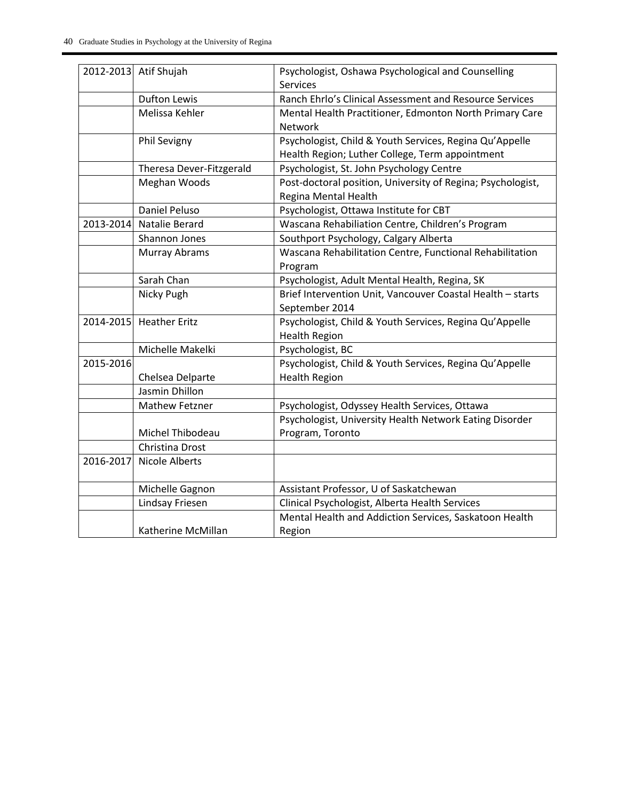|           | 2012-2013 Atif Shujah    | Psychologist, Oshawa Psychological and Counselling          |
|-----------|--------------------------|-------------------------------------------------------------|
|           |                          | <b>Services</b>                                             |
|           | <b>Dufton Lewis</b>      | Ranch Ehrlo's Clinical Assessment and Resource Services     |
|           | Melissa Kehler           | Mental Health Practitioner, Edmonton North Primary Care     |
|           |                          | Network                                                     |
|           | Phil Sevigny             | Psychologist, Child & Youth Services, Regina Qu'Appelle     |
|           |                          | Health Region; Luther College, Term appointment             |
|           | Theresa Dever-Fitzgerald | Psychologist, St. John Psychology Centre                    |
|           | Meghan Woods             | Post-doctoral position, University of Regina; Psychologist, |
|           |                          | Regina Mental Health                                        |
|           | Daniel Peluso            | Psychologist, Ottawa Institute for CBT                      |
| 2013-2014 | Natalie Berard           | Wascana Rehabiliation Centre, Children's Program            |
|           | Shannon Jones            | Southport Psychology, Calgary Alberta                       |
|           | Murray Abrams            | Wascana Rehabilitation Centre, Functional Rehabilitation    |
|           |                          | Program                                                     |
|           | Sarah Chan               | Psychologist, Adult Mental Health, Regina, SK               |
|           | Nicky Pugh               | Brief Intervention Unit, Vancouver Coastal Health - starts  |
|           |                          | September 2014                                              |
|           | 2014-2015 Heather Eritz  | Psychologist, Child & Youth Services, Regina Qu'Appelle     |
|           |                          | <b>Health Region</b>                                        |
|           | Michelle Makelki         | Psychologist, BC                                            |
| 2015-2016 |                          | Psychologist, Child & Youth Services, Regina Qu'Appelle     |
|           | Chelsea Delparte         | <b>Health Region</b>                                        |
|           | Jasmin Dhillon           |                                                             |
|           | <b>Mathew Fetzner</b>    | Psychologist, Odyssey Health Services, Ottawa               |
|           |                          | Psychologist, University Health Network Eating Disorder     |
|           | Michel Thibodeau         | Program, Toronto                                            |
|           | Christina Drost          |                                                             |
| 2016-2017 | <b>Nicole Alberts</b>    |                                                             |
|           |                          |                                                             |
|           | Michelle Gagnon          | Assistant Professor, U of Saskatchewan                      |
|           | Lindsay Friesen          | Clinical Psychologist, Alberta Health Services              |
|           |                          | Mental Health and Addiction Services, Saskatoon Health      |
|           | Katherine McMillan       | Region                                                      |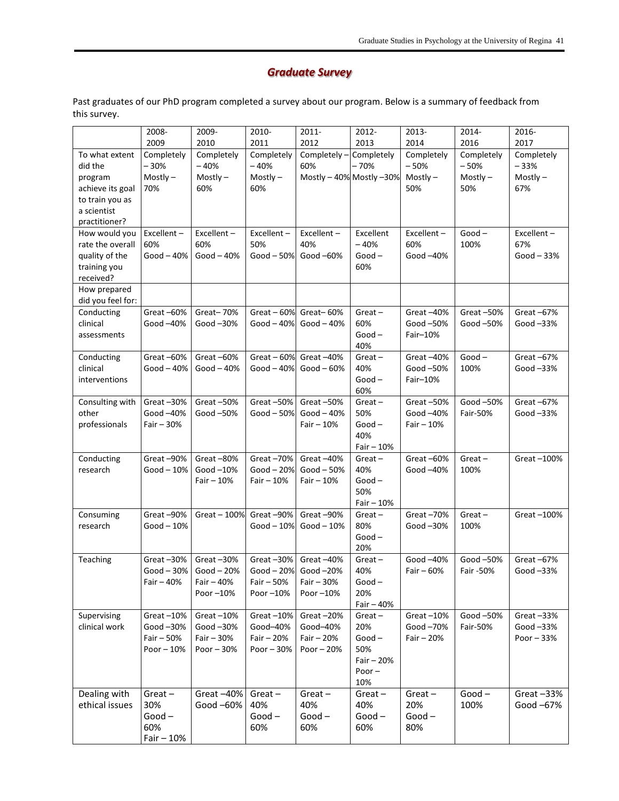### *Graduate Survey*

Past graduates of our PhD program completed a survey about our program. Below is a summary of feedback from this survey.

| 2009<br>2010<br>2011<br>2012<br>2013<br>2014<br>2016<br>2017<br>Completely<br>To what extent<br>Completely<br>Completely<br>Completely<br>Completely -<br>Completely<br>Completely<br>Completely<br>$-30%$<br>$-40%$<br>$-40%$<br>$-70%$<br>$-50%$<br>60%<br>$-50%$<br>$-33%$<br>did the<br>$Mostly -$<br>$Mostly -$<br>$Mostly -$<br>Mostly $-40\%$ Mostly $-30\%$<br>$Mostly -$<br>$Mostly -$<br>$Mostly -$<br>program<br>70%<br>67%<br>achieve its goal<br>60%<br>60%<br>50%<br>50%<br>to train you as<br>a scientist<br>practitioner?<br>How would you<br>Excellent-<br>Excellent-<br>Excellent-<br>Excellent-<br>Excellent<br>Excellent-<br>$Good -$<br>Excellent-<br>60%<br>60%<br>50%<br>40%<br>$-40%$<br>60%<br>100%<br>67%<br>rate the overall<br>quality of the<br>Good $-40%$<br>$Good-40%$<br>Good $-50%$<br>Good -60%<br>$Good -$<br>Good -40%<br>$Good - 33%$<br>60%<br>training you<br>received?<br>How prepared<br>did you feel for:<br>Great-60%<br>Great-70%<br>Great $-60%$<br>Great-60%<br>Great-50%<br>Great-67%<br>Conducting<br>$Great -$<br>Great-40%<br>clinical<br>60%<br>Good -40%<br>Good $-30\%$<br>Good $-40%$<br>$Good - 40%$<br>Good -50%<br>Good -50%<br>Good $-33%$<br>$Good -$<br>Fair-10%<br>assessments<br>40%<br>Great-60%<br>Great-60%<br>Great-40%<br>$Good -$<br>Great-67%<br>Conducting<br>Great $-60%$<br>$Great -$<br>Great-40%<br>clinical<br>40%<br>Good – 40%<br>$Good - 40%$<br>Good $-40%$<br>$Good - 60%$<br>Good -50%<br>100%<br>Good $-33%$<br>$Good -$<br>interventions<br>Fair-10%<br>60%<br>Great $-30%$<br>Great $-50%$<br>Great-50%<br>Consulting with<br>Great $-50%$<br>$Great -$<br>Great $-50%$<br>Good -50%<br>Great-67%<br>50%<br>other<br>Good –40%<br>Good-50%<br>Good $-50%$<br>Good $-40%$<br>Good -40%<br>Fair-50%<br>Good $-33%$<br>professionals<br>$Good -$<br>Fair - 30%<br>Fair $-10%$<br>$Fair - 10%$<br>40%<br>Fair $-10%$<br>Great-90%<br>Great-80%<br>Great-70%<br>Great-40%<br>Great-60%<br>$Great -$<br>Great-100%<br>Conducting<br>$Great -$<br>Good $-20%$<br>40%<br>research<br>Good – 10%<br>Good-10%<br>Good $-50%$<br>Good -40%<br>100%<br>Fair $-10%$<br>Fair $-10%$<br>$Good -$<br>Fair $-10%$<br>50%<br>$Fair - 10%$<br>Consuming<br>Great-90%<br>$Great - 100%$<br>Great-90%<br>Great-90%<br>Great $-70%$<br>$Great -$<br>Great-100%<br>$Great -$<br>80%<br>research<br>Good – 10%<br>$Good-10%$<br>Good $-10%$<br>Good $-30%$<br>100%<br>$Good -$<br>20%<br>Teaching<br>Great-30%<br>Great $-30%$<br>Great-30%<br>Great-40%<br>Good -40%<br>Good -50%<br>Great-67%<br>$Great -$<br>Good - 30%<br>$Good - 20%$<br>$Good - 20%$<br>Good $-20%$<br>40%<br>Fair $-60%$<br>Fair -50%<br>Good $-33%$<br>Fair $-40%$<br>$Fair - 50%$<br>Fair $-40%$<br>Fair $-30%$<br>$Good-$<br>20%<br>Poor -10%<br>Poor -10%<br>Poor $-10%$<br>Fair $-40%$<br>Great-10%<br>Good-50%<br>Supervising<br>Great $-10%$<br>Great $-10%$<br>Great-20%<br>$Great -$<br>Great $-10%$<br>Great-33%<br>clinical work<br>Good-30%<br>Good-30%<br>Good-40%<br>Good-40%<br>20%<br>Good-70%<br>Fair-50%<br>Good-33%<br>Fair - 50%<br>Fair $-30%$<br>Fair - 20%<br>Fair - 20%<br>$Good -$<br>Fair $-20%$<br>Poor $-33%$<br>Poor $-10%$<br>Poor - 30%<br>Poor $-30%$<br>Poor $-20%$<br>50%<br>Fair $-20%$<br>Poor $-$<br>10%<br>Dealing with<br>Great-40%<br>$Good -$<br>$Great -$<br>$Great -$<br>Great $-33%$<br>$Great -$<br>$Great -$<br>$Great -$<br>100%<br>ethical issues<br>30%<br>Good -60%<br>40%<br>40%<br>40%<br>20%<br>Good -67%<br>$Good -$<br>$Good -$<br>$Good -$<br>$Good -$<br>$Good -$<br>60%<br>60%<br>60%<br>60%<br>80% | 2008-       | 2009- | 2010- | 2011- | 2012- | 2013- | 2014- | 2016- |
|---------------------------------------------------------------------------------------------------------------------------------------------------------------------------------------------------------------------------------------------------------------------------------------------------------------------------------------------------------------------------------------------------------------------------------------------------------------------------------------------------------------------------------------------------------------------------------------------------------------------------------------------------------------------------------------------------------------------------------------------------------------------------------------------------------------------------------------------------------------------------------------------------------------------------------------------------------------------------------------------------------------------------------------------------------------------------------------------------------------------------------------------------------------------------------------------------------------------------------------------------------------------------------------------------------------------------------------------------------------------------------------------------------------------------------------------------------------------------------------------------------------------------------------------------------------------------------------------------------------------------------------------------------------------------------------------------------------------------------------------------------------------------------------------------------------------------------------------------------------------------------------------------------------------------------------------------------------------------------------------------------------------------------------------------------------------------------------------------------------------------------------------------------------------------------------------------------------------------------------------------------------------------------------------------------------------------------------------------------------------------------------------------------------------------------------------------------------------------------------------------------------------------------------------------------------------------------------------------------------------------------------------------------------------------------------------------------------------------------------------------------------------------------------------------------------------------------------------------------------------------------------------------------------------------------------------------------------------------------------------------------------------------------------------------------------------------------------------------------------------------------------------------------------------------------------------------------------------------------------------------------------------------------------------------------------------------------------------------------------------------------------------------------------------------------------------------------------------------------------------------------------------------------------------------------------------------------------------------|-------------|-------|-------|-------|-------|-------|-------|-------|
|                                                                                                                                                                                                                                                                                                                                                                                                                                                                                                                                                                                                                                                                                                                                                                                                                                                                                                                                                                                                                                                                                                                                                                                                                                                                                                                                                                                                                                                                                                                                                                                                                                                                                                                                                                                                                                                                                                                                                                                                                                                                                                                                                                                                                                                                                                                                                                                                                                                                                                                                                                                                                                                                                                                                                                                                                                                                                                                                                                                                                                                                                                                                                                                                                                                                                                                                                                                                                                                                                                                                                                                                   |             |       |       |       |       |       |       |       |
|                                                                                                                                                                                                                                                                                                                                                                                                                                                                                                                                                                                                                                                                                                                                                                                                                                                                                                                                                                                                                                                                                                                                                                                                                                                                                                                                                                                                                                                                                                                                                                                                                                                                                                                                                                                                                                                                                                                                                                                                                                                                                                                                                                                                                                                                                                                                                                                                                                                                                                                                                                                                                                                                                                                                                                                                                                                                                                                                                                                                                                                                                                                                                                                                                                                                                                                                                                                                                                                                                                                                                                                                   |             |       |       |       |       |       |       |       |
|                                                                                                                                                                                                                                                                                                                                                                                                                                                                                                                                                                                                                                                                                                                                                                                                                                                                                                                                                                                                                                                                                                                                                                                                                                                                                                                                                                                                                                                                                                                                                                                                                                                                                                                                                                                                                                                                                                                                                                                                                                                                                                                                                                                                                                                                                                                                                                                                                                                                                                                                                                                                                                                                                                                                                                                                                                                                                                                                                                                                                                                                                                                                                                                                                                                                                                                                                                                                                                                                                                                                                                                                   |             |       |       |       |       |       |       |       |
|                                                                                                                                                                                                                                                                                                                                                                                                                                                                                                                                                                                                                                                                                                                                                                                                                                                                                                                                                                                                                                                                                                                                                                                                                                                                                                                                                                                                                                                                                                                                                                                                                                                                                                                                                                                                                                                                                                                                                                                                                                                                                                                                                                                                                                                                                                                                                                                                                                                                                                                                                                                                                                                                                                                                                                                                                                                                                                                                                                                                                                                                                                                                                                                                                                                                                                                                                                                                                                                                                                                                                                                                   |             |       |       |       |       |       |       |       |
|                                                                                                                                                                                                                                                                                                                                                                                                                                                                                                                                                                                                                                                                                                                                                                                                                                                                                                                                                                                                                                                                                                                                                                                                                                                                                                                                                                                                                                                                                                                                                                                                                                                                                                                                                                                                                                                                                                                                                                                                                                                                                                                                                                                                                                                                                                                                                                                                                                                                                                                                                                                                                                                                                                                                                                                                                                                                                                                                                                                                                                                                                                                                                                                                                                                                                                                                                                                                                                                                                                                                                                                                   |             |       |       |       |       |       |       |       |
|                                                                                                                                                                                                                                                                                                                                                                                                                                                                                                                                                                                                                                                                                                                                                                                                                                                                                                                                                                                                                                                                                                                                                                                                                                                                                                                                                                                                                                                                                                                                                                                                                                                                                                                                                                                                                                                                                                                                                                                                                                                                                                                                                                                                                                                                                                                                                                                                                                                                                                                                                                                                                                                                                                                                                                                                                                                                                                                                                                                                                                                                                                                                                                                                                                                                                                                                                                                                                                                                                                                                                                                                   |             |       |       |       |       |       |       |       |
|                                                                                                                                                                                                                                                                                                                                                                                                                                                                                                                                                                                                                                                                                                                                                                                                                                                                                                                                                                                                                                                                                                                                                                                                                                                                                                                                                                                                                                                                                                                                                                                                                                                                                                                                                                                                                                                                                                                                                                                                                                                                                                                                                                                                                                                                                                                                                                                                                                                                                                                                                                                                                                                                                                                                                                                                                                                                                                                                                                                                                                                                                                                                                                                                                                                                                                                                                                                                                                                                                                                                                                                                   |             |       |       |       |       |       |       |       |
|                                                                                                                                                                                                                                                                                                                                                                                                                                                                                                                                                                                                                                                                                                                                                                                                                                                                                                                                                                                                                                                                                                                                                                                                                                                                                                                                                                                                                                                                                                                                                                                                                                                                                                                                                                                                                                                                                                                                                                                                                                                                                                                                                                                                                                                                                                                                                                                                                                                                                                                                                                                                                                                                                                                                                                                                                                                                                                                                                                                                                                                                                                                                                                                                                                                                                                                                                                                                                                                                                                                                                                                                   |             |       |       |       |       |       |       |       |
|                                                                                                                                                                                                                                                                                                                                                                                                                                                                                                                                                                                                                                                                                                                                                                                                                                                                                                                                                                                                                                                                                                                                                                                                                                                                                                                                                                                                                                                                                                                                                                                                                                                                                                                                                                                                                                                                                                                                                                                                                                                                                                                                                                                                                                                                                                                                                                                                                                                                                                                                                                                                                                                                                                                                                                                                                                                                                                                                                                                                                                                                                                                                                                                                                                                                                                                                                                                                                                                                                                                                                                                                   |             |       |       |       |       |       |       |       |
|                                                                                                                                                                                                                                                                                                                                                                                                                                                                                                                                                                                                                                                                                                                                                                                                                                                                                                                                                                                                                                                                                                                                                                                                                                                                                                                                                                                                                                                                                                                                                                                                                                                                                                                                                                                                                                                                                                                                                                                                                                                                                                                                                                                                                                                                                                                                                                                                                                                                                                                                                                                                                                                                                                                                                                                                                                                                                                                                                                                                                                                                                                                                                                                                                                                                                                                                                                                                                                                                                                                                                                                                   |             |       |       |       |       |       |       |       |
|                                                                                                                                                                                                                                                                                                                                                                                                                                                                                                                                                                                                                                                                                                                                                                                                                                                                                                                                                                                                                                                                                                                                                                                                                                                                                                                                                                                                                                                                                                                                                                                                                                                                                                                                                                                                                                                                                                                                                                                                                                                                                                                                                                                                                                                                                                                                                                                                                                                                                                                                                                                                                                                                                                                                                                                                                                                                                                                                                                                                                                                                                                                                                                                                                                                                                                                                                                                                                                                                                                                                                                                                   |             |       |       |       |       |       |       |       |
|                                                                                                                                                                                                                                                                                                                                                                                                                                                                                                                                                                                                                                                                                                                                                                                                                                                                                                                                                                                                                                                                                                                                                                                                                                                                                                                                                                                                                                                                                                                                                                                                                                                                                                                                                                                                                                                                                                                                                                                                                                                                                                                                                                                                                                                                                                                                                                                                                                                                                                                                                                                                                                                                                                                                                                                                                                                                                                                                                                                                                                                                                                                                                                                                                                                                                                                                                                                                                                                                                                                                                                                                   |             |       |       |       |       |       |       |       |
|                                                                                                                                                                                                                                                                                                                                                                                                                                                                                                                                                                                                                                                                                                                                                                                                                                                                                                                                                                                                                                                                                                                                                                                                                                                                                                                                                                                                                                                                                                                                                                                                                                                                                                                                                                                                                                                                                                                                                                                                                                                                                                                                                                                                                                                                                                                                                                                                                                                                                                                                                                                                                                                                                                                                                                                                                                                                                                                                                                                                                                                                                                                                                                                                                                                                                                                                                                                                                                                                                                                                                                                                   |             |       |       |       |       |       |       |       |
|                                                                                                                                                                                                                                                                                                                                                                                                                                                                                                                                                                                                                                                                                                                                                                                                                                                                                                                                                                                                                                                                                                                                                                                                                                                                                                                                                                                                                                                                                                                                                                                                                                                                                                                                                                                                                                                                                                                                                                                                                                                                                                                                                                                                                                                                                                                                                                                                                                                                                                                                                                                                                                                                                                                                                                                                                                                                                                                                                                                                                                                                                                                                                                                                                                                                                                                                                                                                                                                                                                                                                                                                   |             |       |       |       |       |       |       |       |
|                                                                                                                                                                                                                                                                                                                                                                                                                                                                                                                                                                                                                                                                                                                                                                                                                                                                                                                                                                                                                                                                                                                                                                                                                                                                                                                                                                                                                                                                                                                                                                                                                                                                                                                                                                                                                                                                                                                                                                                                                                                                                                                                                                                                                                                                                                                                                                                                                                                                                                                                                                                                                                                                                                                                                                                                                                                                                                                                                                                                                                                                                                                                                                                                                                                                                                                                                                                                                                                                                                                                                                                                   |             |       |       |       |       |       |       |       |
|                                                                                                                                                                                                                                                                                                                                                                                                                                                                                                                                                                                                                                                                                                                                                                                                                                                                                                                                                                                                                                                                                                                                                                                                                                                                                                                                                                                                                                                                                                                                                                                                                                                                                                                                                                                                                                                                                                                                                                                                                                                                                                                                                                                                                                                                                                                                                                                                                                                                                                                                                                                                                                                                                                                                                                                                                                                                                                                                                                                                                                                                                                                                                                                                                                                                                                                                                                                                                                                                                                                                                                                                   |             |       |       |       |       |       |       |       |
|                                                                                                                                                                                                                                                                                                                                                                                                                                                                                                                                                                                                                                                                                                                                                                                                                                                                                                                                                                                                                                                                                                                                                                                                                                                                                                                                                                                                                                                                                                                                                                                                                                                                                                                                                                                                                                                                                                                                                                                                                                                                                                                                                                                                                                                                                                                                                                                                                                                                                                                                                                                                                                                                                                                                                                                                                                                                                                                                                                                                                                                                                                                                                                                                                                                                                                                                                                                                                                                                                                                                                                                                   |             |       |       |       |       |       |       |       |
|                                                                                                                                                                                                                                                                                                                                                                                                                                                                                                                                                                                                                                                                                                                                                                                                                                                                                                                                                                                                                                                                                                                                                                                                                                                                                                                                                                                                                                                                                                                                                                                                                                                                                                                                                                                                                                                                                                                                                                                                                                                                                                                                                                                                                                                                                                                                                                                                                                                                                                                                                                                                                                                                                                                                                                                                                                                                                                                                                                                                                                                                                                                                                                                                                                                                                                                                                                                                                                                                                                                                                                                                   |             |       |       |       |       |       |       |       |
|                                                                                                                                                                                                                                                                                                                                                                                                                                                                                                                                                                                                                                                                                                                                                                                                                                                                                                                                                                                                                                                                                                                                                                                                                                                                                                                                                                                                                                                                                                                                                                                                                                                                                                                                                                                                                                                                                                                                                                                                                                                                                                                                                                                                                                                                                                                                                                                                                                                                                                                                                                                                                                                                                                                                                                                                                                                                                                                                                                                                                                                                                                                                                                                                                                                                                                                                                                                                                                                                                                                                                                                                   |             |       |       |       |       |       |       |       |
|                                                                                                                                                                                                                                                                                                                                                                                                                                                                                                                                                                                                                                                                                                                                                                                                                                                                                                                                                                                                                                                                                                                                                                                                                                                                                                                                                                                                                                                                                                                                                                                                                                                                                                                                                                                                                                                                                                                                                                                                                                                                                                                                                                                                                                                                                                                                                                                                                                                                                                                                                                                                                                                                                                                                                                                                                                                                                                                                                                                                                                                                                                                                                                                                                                                                                                                                                                                                                                                                                                                                                                                                   |             |       |       |       |       |       |       |       |
|                                                                                                                                                                                                                                                                                                                                                                                                                                                                                                                                                                                                                                                                                                                                                                                                                                                                                                                                                                                                                                                                                                                                                                                                                                                                                                                                                                                                                                                                                                                                                                                                                                                                                                                                                                                                                                                                                                                                                                                                                                                                                                                                                                                                                                                                                                                                                                                                                                                                                                                                                                                                                                                                                                                                                                                                                                                                                                                                                                                                                                                                                                                                                                                                                                                                                                                                                                                                                                                                                                                                                                                                   |             |       |       |       |       |       |       |       |
|                                                                                                                                                                                                                                                                                                                                                                                                                                                                                                                                                                                                                                                                                                                                                                                                                                                                                                                                                                                                                                                                                                                                                                                                                                                                                                                                                                                                                                                                                                                                                                                                                                                                                                                                                                                                                                                                                                                                                                                                                                                                                                                                                                                                                                                                                                                                                                                                                                                                                                                                                                                                                                                                                                                                                                                                                                                                                                                                                                                                                                                                                                                                                                                                                                                                                                                                                                                                                                                                                                                                                                                                   |             |       |       |       |       |       |       |       |
|                                                                                                                                                                                                                                                                                                                                                                                                                                                                                                                                                                                                                                                                                                                                                                                                                                                                                                                                                                                                                                                                                                                                                                                                                                                                                                                                                                                                                                                                                                                                                                                                                                                                                                                                                                                                                                                                                                                                                                                                                                                                                                                                                                                                                                                                                                                                                                                                                                                                                                                                                                                                                                                                                                                                                                                                                                                                                                                                                                                                                                                                                                                                                                                                                                                                                                                                                                                                                                                                                                                                                                                                   |             |       |       |       |       |       |       |       |
|                                                                                                                                                                                                                                                                                                                                                                                                                                                                                                                                                                                                                                                                                                                                                                                                                                                                                                                                                                                                                                                                                                                                                                                                                                                                                                                                                                                                                                                                                                                                                                                                                                                                                                                                                                                                                                                                                                                                                                                                                                                                                                                                                                                                                                                                                                                                                                                                                                                                                                                                                                                                                                                                                                                                                                                                                                                                                                                                                                                                                                                                                                                                                                                                                                                                                                                                                                                                                                                                                                                                                                                                   |             |       |       |       |       |       |       |       |
|                                                                                                                                                                                                                                                                                                                                                                                                                                                                                                                                                                                                                                                                                                                                                                                                                                                                                                                                                                                                                                                                                                                                                                                                                                                                                                                                                                                                                                                                                                                                                                                                                                                                                                                                                                                                                                                                                                                                                                                                                                                                                                                                                                                                                                                                                                                                                                                                                                                                                                                                                                                                                                                                                                                                                                                                                                                                                                                                                                                                                                                                                                                                                                                                                                                                                                                                                                                                                                                                                                                                                                                                   |             |       |       |       |       |       |       |       |
|                                                                                                                                                                                                                                                                                                                                                                                                                                                                                                                                                                                                                                                                                                                                                                                                                                                                                                                                                                                                                                                                                                                                                                                                                                                                                                                                                                                                                                                                                                                                                                                                                                                                                                                                                                                                                                                                                                                                                                                                                                                                                                                                                                                                                                                                                                                                                                                                                                                                                                                                                                                                                                                                                                                                                                                                                                                                                                                                                                                                                                                                                                                                                                                                                                                                                                                                                                                                                                                                                                                                                                                                   |             |       |       |       |       |       |       |       |
|                                                                                                                                                                                                                                                                                                                                                                                                                                                                                                                                                                                                                                                                                                                                                                                                                                                                                                                                                                                                                                                                                                                                                                                                                                                                                                                                                                                                                                                                                                                                                                                                                                                                                                                                                                                                                                                                                                                                                                                                                                                                                                                                                                                                                                                                                                                                                                                                                                                                                                                                                                                                                                                                                                                                                                                                                                                                                                                                                                                                                                                                                                                                                                                                                                                                                                                                                                                                                                                                                                                                                                                                   |             |       |       |       |       |       |       |       |
|                                                                                                                                                                                                                                                                                                                                                                                                                                                                                                                                                                                                                                                                                                                                                                                                                                                                                                                                                                                                                                                                                                                                                                                                                                                                                                                                                                                                                                                                                                                                                                                                                                                                                                                                                                                                                                                                                                                                                                                                                                                                                                                                                                                                                                                                                                                                                                                                                                                                                                                                                                                                                                                                                                                                                                                                                                                                                                                                                                                                                                                                                                                                                                                                                                                                                                                                                                                                                                                                                                                                                                                                   |             |       |       |       |       |       |       |       |
|                                                                                                                                                                                                                                                                                                                                                                                                                                                                                                                                                                                                                                                                                                                                                                                                                                                                                                                                                                                                                                                                                                                                                                                                                                                                                                                                                                                                                                                                                                                                                                                                                                                                                                                                                                                                                                                                                                                                                                                                                                                                                                                                                                                                                                                                                                                                                                                                                                                                                                                                                                                                                                                                                                                                                                                                                                                                                                                                                                                                                                                                                                                                                                                                                                                                                                                                                                                                                                                                                                                                                                                                   |             |       |       |       |       |       |       |       |
|                                                                                                                                                                                                                                                                                                                                                                                                                                                                                                                                                                                                                                                                                                                                                                                                                                                                                                                                                                                                                                                                                                                                                                                                                                                                                                                                                                                                                                                                                                                                                                                                                                                                                                                                                                                                                                                                                                                                                                                                                                                                                                                                                                                                                                                                                                                                                                                                                                                                                                                                                                                                                                                                                                                                                                                                                                                                                                                                                                                                                                                                                                                                                                                                                                                                                                                                                                                                                                                                                                                                                                                                   |             |       |       |       |       |       |       |       |
|                                                                                                                                                                                                                                                                                                                                                                                                                                                                                                                                                                                                                                                                                                                                                                                                                                                                                                                                                                                                                                                                                                                                                                                                                                                                                                                                                                                                                                                                                                                                                                                                                                                                                                                                                                                                                                                                                                                                                                                                                                                                                                                                                                                                                                                                                                                                                                                                                                                                                                                                                                                                                                                                                                                                                                                                                                                                                                                                                                                                                                                                                                                                                                                                                                                                                                                                                                                                                                                                                                                                                                                                   |             |       |       |       |       |       |       |       |
|                                                                                                                                                                                                                                                                                                                                                                                                                                                                                                                                                                                                                                                                                                                                                                                                                                                                                                                                                                                                                                                                                                                                                                                                                                                                                                                                                                                                                                                                                                                                                                                                                                                                                                                                                                                                                                                                                                                                                                                                                                                                                                                                                                                                                                                                                                                                                                                                                                                                                                                                                                                                                                                                                                                                                                                                                                                                                                                                                                                                                                                                                                                                                                                                                                                                                                                                                                                                                                                                                                                                                                                                   |             |       |       |       |       |       |       |       |
|                                                                                                                                                                                                                                                                                                                                                                                                                                                                                                                                                                                                                                                                                                                                                                                                                                                                                                                                                                                                                                                                                                                                                                                                                                                                                                                                                                                                                                                                                                                                                                                                                                                                                                                                                                                                                                                                                                                                                                                                                                                                                                                                                                                                                                                                                                                                                                                                                                                                                                                                                                                                                                                                                                                                                                                                                                                                                                                                                                                                                                                                                                                                                                                                                                                                                                                                                                                                                                                                                                                                                                                                   |             |       |       |       |       |       |       |       |
|                                                                                                                                                                                                                                                                                                                                                                                                                                                                                                                                                                                                                                                                                                                                                                                                                                                                                                                                                                                                                                                                                                                                                                                                                                                                                                                                                                                                                                                                                                                                                                                                                                                                                                                                                                                                                                                                                                                                                                                                                                                                                                                                                                                                                                                                                                                                                                                                                                                                                                                                                                                                                                                                                                                                                                                                                                                                                                                                                                                                                                                                                                                                                                                                                                                                                                                                                                                                                                                                                                                                                                                                   |             |       |       |       |       |       |       |       |
|                                                                                                                                                                                                                                                                                                                                                                                                                                                                                                                                                                                                                                                                                                                                                                                                                                                                                                                                                                                                                                                                                                                                                                                                                                                                                                                                                                                                                                                                                                                                                                                                                                                                                                                                                                                                                                                                                                                                                                                                                                                                                                                                                                                                                                                                                                                                                                                                                                                                                                                                                                                                                                                                                                                                                                                                                                                                                                                                                                                                                                                                                                                                                                                                                                                                                                                                                                                                                                                                                                                                                                                                   |             |       |       |       |       |       |       |       |
|                                                                                                                                                                                                                                                                                                                                                                                                                                                                                                                                                                                                                                                                                                                                                                                                                                                                                                                                                                                                                                                                                                                                                                                                                                                                                                                                                                                                                                                                                                                                                                                                                                                                                                                                                                                                                                                                                                                                                                                                                                                                                                                                                                                                                                                                                                                                                                                                                                                                                                                                                                                                                                                                                                                                                                                                                                                                                                                                                                                                                                                                                                                                                                                                                                                                                                                                                                                                                                                                                                                                                                                                   |             |       |       |       |       |       |       |       |
|                                                                                                                                                                                                                                                                                                                                                                                                                                                                                                                                                                                                                                                                                                                                                                                                                                                                                                                                                                                                                                                                                                                                                                                                                                                                                                                                                                                                                                                                                                                                                                                                                                                                                                                                                                                                                                                                                                                                                                                                                                                                                                                                                                                                                                                                                                                                                                                                                                                                                                                                                                                                                                                                                                                                                                                                                                                                                                                                                                                                                                                                                                                                                                                                                                                                                                                                                                                                                                                                                                                                                                                                   |             |       |       |       |       |       |       |       |
|                                                                                                                                                                                                                                                                                                                                                                                                                                                                                                                                                                                                                                                                                                                                                                                                                                                                                                                                                                                                                                                                                                                                                                                                                                                                                                                                                                                                                                                                                                                                                                                                                                                                                                                                                                                                                                                                                                                                                                                                                                                                                                                                                                                                                                                                                                                                                                                                                                                                                                                                                                                                                                                                                                                                                                                                                                                                                                                                                                                                                                                                                                                                                                                                                                                                                                                                                                                                                                                                                                                                                                                                   |             |       |       |       |       |       |       |       |
|                                                                                                                                                                                                                                                                                                                                                                                                                                                                                                                                                                                                                                                                                                                                                                                                                                                                                                                                                                                                                                                                                                                                                                                                                                                                                                                                                                                                                                                                                                                                                                                                                                                                                                                                                                                                                                                                                                                                                                                                                                                                                                                                                                                                                                                                                                                                                                                                                                                                                                                                                                                                                                                                                                                                                                                                                                                                                                                                                                                                                                                                                                                                                                                                                                                                                                                                                                                                                                                                                                                                                                                                   |             |       |       |       |       |       |       |       |
|                                                                                                                                                                                                                                                                                                                                                                                                                                                                                                                                                                                                                                                                                                                                                                                                                                                                                                                                                                                                                                                                                                                                                                                                                                                                                                                                                                                                                                                                                                                                                                                                                                                                                                                                                                                                                                                                                                                                                                                                                                                                                                                                                                                                                                                                                                                                                                                                                                                                                                                                                                                                                                                                                                                                                                                                                                                                                                                                                                                                                                                                                                                                                                                                                                                                                                                                                                                                                                                                                                                                                                                                   |             |       |       |       |       |       |       |       |
|                                                                                                                                                                                                                                                                                                                                                                                                                                                                                                                                                                                                                                                                                                                                                                                                                                                                                                                                                                                                                                                                                                                                                                                                                                                                                                                                                                                                                                                                                                                                                                                                                                                                                                                                                                                                                                                                                                                                                                                                                                                                                                                                                                                                                                                                                                                                                                                                                                                                                                                                                                                                                                                                                                                                                                                                                                                                                                                                                                                                                                                                                                                                                                                                                                                                                                                                                                                                                                                                                                                                                                                                   |             |       |       |       |       |       |       |       |
|                                                                                                                                                                                                                                                                                                                                                                                                                                                                                                                                                                                                                                                                                                                                                                                                                                                                                                                                                                                                                                                                                                                                                                                                                                                                                                                                                                                                                                                                                                                                                                                                                                                                                                                                                                                                                                                                                                                                                                                                                                                                                                                                                                                                                                                                                                                                                                                                                                                                                                                                                                                                                                                                                                                                                                                                                                                                                                                                                                                                                                                                                                                                                                                                                                                                                                                                                                                                                                                                                                                                                                                                   |             |       |       |       |       |       |       |       |
|                                                                                                                                                                                                                                                                                                                                                                                                                                                                                                                                                                                                                                                                                                                                                                                                                                                                                                                                                                                                                                                                                                                                                                                                                                                                                                                                                                                                                                                                                                                                                                                                                                                                                                                                                                                                                                                                                                                                                                                                                                                                                                                                                                                                                                                                                                                                                                                                                                                                                                                                                                                                                                                                                                                                                                                                                                                                                                                                                                                                                                                                                                                                                                                                                                                                                                                                                                                                                                                                                                                                                                                                   |             |       |       |       |       |       |       |       |
|                                                                                                                                                                                                                                                                                                                                                                                                                                                                                                                                                                                                                                                                                                                                                                                                                                                                                                                                                                                                                                                                                                                                                                                                                                                                                                                                                                                                                                                                                                                                                                                                                                                                                                                                                                                                                                                                                                                                                                                                                                                                                                                                                                                                                                                                                                                                                                                                                                                                                                                                                                                                                                                                                                                                                                                                                                                                                                                                                                                                                                                                                                                                                                                                                                                                                                                                                                                                                                                                                                                                                                                                   |             |       |       |       |       |       |       |       |
|                                                                                                                                                                                                                                                                                                                                                                                                                                                                                                                                                                                                                                                                                                                                                                                                                                                                                                                                                                                                                                                                                                                                                                                                                                                                                                                                                                                                                                                                                                                                                                                                                                                                                                                                                                                                                                                                                                                                                                                                                                                                                                                                                                                                                                                                                                                                                                                                                                                                                                                                                                                                                                                                                                                                                                                                                                                                                                                                                                                                                                                                                                                                                                                                                                                                                                                                                                                                                                                                                                                                                                                                   |             |       |       |       |       |       |       |       |
|                                                                                                                                                                                                                                                                                                                                                                                                                                                                                                                                                                                                                                                                                                                                                                                                                                                                                                                                                                                                                                                                                                                                                                                                                                                                                                                                                                                                                                                                                                                                                                                                                                                                                                                                                                                                                                                                                                                                                                                                                                                                                                                                                                                                                                                                                                                                                                                                                                                                                                                                                                                                                                                                                                                                                                                                                                                                                                                                                                                                                                                                                                                                                                                                                                                                                                                                                                                                                                                                                                                                                                                                   |             |       |       |       |       |       |       |       |
|                                                                                                                                                                                                                                                                                                                                                                                                                                                                                                                                                                                                                                                                                                                                                                                                                                                                                                                                                                                                                                                                                                                                                                                                                                                                                                                                                                                                                                                                                                                                                                                                                                                                                                                                                                                                                                                                                                                                                                                                                                                                                                                                                                                                                                                                                                                                                                                                                                                                                                                                                                                                                                                                                                                                                                                                                                                                                                                                                                                                                                                                                                                                                                                                                                                                                                                                                                                                                                                                                                                                                                                                   |             |       |       |       |       |       |       |       |
|                                                                                                                                                                                                                                                                                                                                                                                                                                                                                                                                                                                                                                                                                                                                                                                                                                                                                                                                                                                                                                                                                                                                                                                                                                                                                                                                                                                                                                                                                                                                                                                                                                                                                                                                                                                                                                                                                                                                                                                                                                                                                                                                                                                                                                                                                                                                                                                                                                                                                                                                                                                                                                                                                                                                                                                                                                                                                                                                                                                                                                                                                                                                                                                                                                                                                                                                                                                                                                                                                                                                                                                                   |             |       |       |       |       |       |       |       |
|                                                                                                                                                                                                                                                                                                                                                                                                                                                                                                                                                                                                                                                                                                                                                                                                                                                                                                                                                                                                                                                                                                                                                                                                                                                                                                                                                                                                                                                                                                                                                                                                                                                                                                                                                                                                                                                                                                                                                                                                                                                                                                                                                                                                                                                                                                                                                                                                                                                                                                                                                                                                                                                                                                                                                                                                                                                                                                                                                                                                                                                                                                                                                                                                                                                                                                                                                                                                                                                                                                                                                                                                   |             |       |       |       |       |       |       |       |
|                                                                                                                                                                                                                                                                                                                                                                                                                                                                                                                                                                                                                                                                                                                                                                                                                                                                                                                                                                                                                                                                                                                                                                                                                                                                                                                                                                                                                                                                                                                                                                                                                                                                                                                                                                                                                                                                                                                                                                                                                                                                                                                                                                                                                                                                                                                                                                                                                                                                                                                                                                                                                                                                                                                                                                                                                                                                                                                                                                                                                                                                                                                                                                                                                                                                                                                                                                                                                                                                                                                                                                                                   |             |       |       |       |       |       |       |       |
|                                                                                                                                                                                                                                                                                                                                                                                                                                                                                                                                                                                                                                                                                                                                                                                                                                                                                                                                                                                                                                                                                                                                                                                                                                                                                                                                                                                                                                                                                                                                                                                                                                                                                                                                                                                                                                                                                                                                                                                                                                                                                                                                                                                                                                                                                                                                                                                                                                                                                                                                                                                                                                                                                                                                                                                                                                                                                                                                                                                                                                                                                                                                                                                                                                                                                                                                                                                                                                                                                                                                                                                                   |             |       |       |       |       |       |       |       |
|                                                                                                                                                                                                                                                                                                                                                                                                                                                                                                                                                                                                                                                                                                                                                                                                                                                                                                                                                                                                                                                                                                                                                                                                                                                                                                                                                                                                                                                                                                                                                                                                                                                                                                                                                                                                                                                                                                                                                                                                                                                                                                                                                                                                                                                                                                                                                                                                                                                                                                                                                                                                                                                                                                                                                                                                                                                                                                                                                                                                                                                                                                                                                                                                                                                                                                                                                                                                                                                                                                                                                                                                   | Fair $-10%$ |       |       |       |       |       |       |       |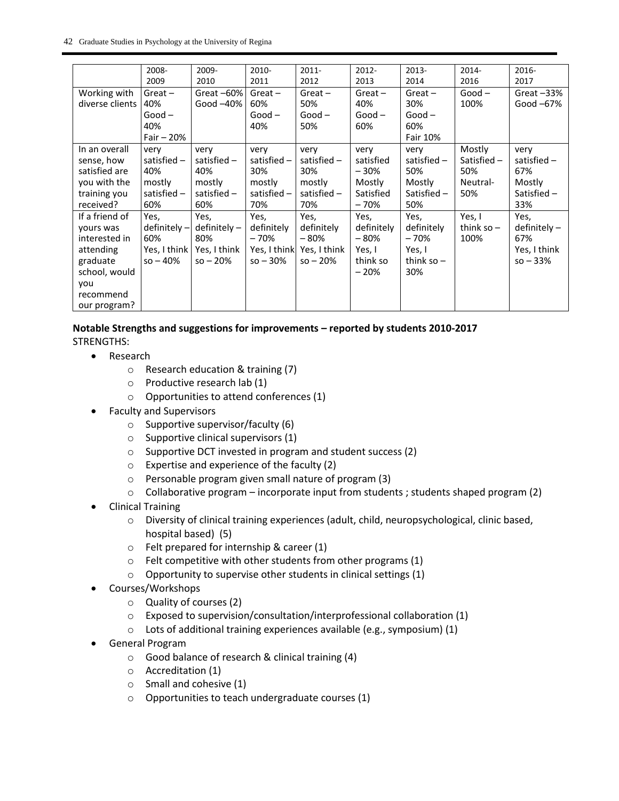|                                              | 2008-                        | 2009-                         | 2010-                        | $2011 -$                     | $2012 -$                     | 2013-                        | $2014 -$                       | 2016-                        |
|----------------------------------------------|------------------------------|-------------------------------|------------------------------|------------------------------|------------------------------|------------------------------|--------------------------------|------------------------------|
|                                              | 2009                         | 2010                          | 2011                         | 2012                         | 2013                         | 2014                         | 2016                           | 2017                         |
| Working with                                 | $Great -$                    | Great-60%                     | $Great -$                    | $Great -$                    | $Great -$                    | $Great -$                    | $Good -$                       | Great $-33%$                 |
| diverse clients                              | 40%                          | Good $-40\%$                  | 60%                          | 50%                          | 40%                          | 30%                          | 100%                           | Good $-67%$                  |
|                                              | $Good -$                     |                               | $Good -$                     | $Good -$                     | $Good -$                     | $Good -$                     |                                |                              |
|                                              | 40%                          |                               | 40%                          | 50%                          | 60%                          | 60%                          |                                |                              |
|                                              | Fair $-20%$                  |                               |                              |                              |                              | Fair 10%                     |                                |                              |
| In an overall<br>sense, how<br>satisfied are | very<br>satisfied $-$<br>40% | very<br>satisfied $-$<br>40%  | very<br>satisfied $-$<br>30% | very<br>satisfied $-$<br>30% | very<br>satisfied<br>$-30%$  | very<br>satisfied $-$<br>50% | Mostly<br>Satisfied -<br>50%   | very<br>satisfied $-$<br>67% |
| you with the                                 | mostly                       | mostly                        | mostly                       | mostly                       | Mostly                       | Mostly                       | Neutral-                       | Mostly                       |
| training you                                 | satisfied -                  | satisfied $-$                 | satisfied $-$                | satisfied $-$                | Satisfied                    | Satisfied $-$                | 50%                            | Satisfied-                   |
| received?                                    | 60%                          | 60%                           | 70%                          | 70%                          | $-70%$                       | 50%                          |                                | 33%                          |
| If a friend of<br>yours was<br>interested in | Yes,<br>definitely-<br>60%   | Yes,<br>$definitely -$<br>80% | Yes,<br>definitely<br>$-70%$ | Yes,<br>definitely<br>$-80%$ | Yes,<br>definitely<br>$-80%$ | Yes,<br>definitely<br>$-70%$ | Yes, I<br>think so $-$<br>100% | Yes,<br>definitely-<br>67%   |
| attending                                    | Yes, I think                 | Yes, I think                  | Yes, I think                 | Yes, I think                 | Yes, I                       | Yes, I                       |                                | Yes, I think                 |
| graduate                                     | $so - 40%$                   | $so - 20%$                    | $so - 30%$                   | $so - 20%$                   | think so                     | think so $-$                 |                                | $so - 33%$                   |
| school, would                                |                              |                               |                              |                              | $-20%$                       | 30%                          |                                |                              |
| you                                          |                              |                               |                              |                              |                              |                              |                                |                              |
| recommend                                    |                              |                               |                              |                              |                              |                              |                                |                              |
| our program?                                 |                              |                               |                              |                              |                              |                              |                                |                              |

#### **Notable Strengths and suggestions for improvements – reported by students 2010-2017** STRENGTHS:

- Research
	- o Research education & training (7)
	- o Productive research lab (1)
	- o Opportunities to attend conferences (1)
- Faculty and Supervisors
	- $\circ$  Supportive supervisor/faculty (6)
	- o Supportive clinical supervisors (1)
	- o Supportive DCT invested in program and student success (2)
	- o Expertise and experience of the faculty (2)
	- o Personable program given small nature of program (3)
	- $\circ$  Collaborative program incorporate input from students ; students shaped program (2)
- Clinical Training
	- $\circ$  Diversity of clinical training experiences (adult, child, neuropsychological, clinic based, hospital based) (5)
	- o Felt prepared for internship & career (1)
	- $\circ$  Felt competitive with other students from other programs (1)
	- $\circ$  Opportunity to supervise other students in clinical settings (1)
- Courses/Workshops
	- o Quality of courses (2)
	- o Exposed to supervision/consultation/interprofessional collaboration (1)
	- o Lots of additional training experiences available (e.g., symposium) (1)
- General Program
	- o Good balance of research & clinical training (4)
	- o Accreditation (1)
	- $\circ$  Small and cohesive (1)
	- o Opportunities to teach undergraduate courses (1)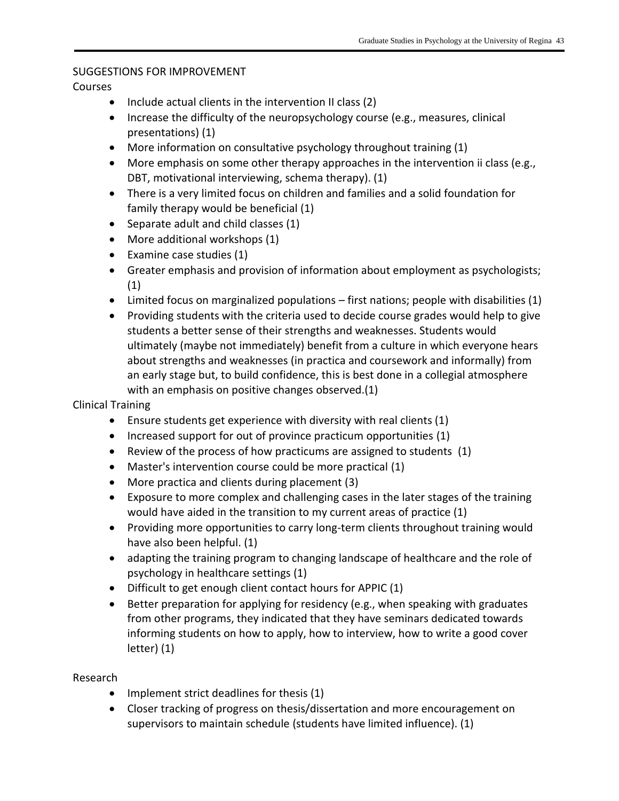### SUGGESTIONS FOR IMPROVEMENT

### Courses

- $\bullet$  Include actual clients in the intervention II class (2)
- Increase the difficulty of the neuropsychology course (e.g., measures, clinical presentations) (1)
- More information on consultative psychology throughout training (1)
- More emphasis on some other therapy approaches in the intervention ii class (e.g., DBT, motivational interviewing, schema therapy). (1)
- There is a very limited focus on children and families and a solid foundation for family therapy would be beneficial (1)
- $\bullet$  Separate adult and child classes (1)
- More additional workshops (1)
- Examine case studies (1)
- Greater emphasis and provision of information about employment as psychologists; (1)
- Limited focus on marginalized populations first nations; people with disabilities (1)
- Providing students with the criteria used to decide course grades would help to give students a better sense of their strengths and weaknesses. Students would ultimately (maybe not immediately) benefit from a culture in which everyone hears about strengths and weaknesses (in practica and coursework and informally) from an early stage but, to build confidence, this is best done in a collegial atmosphere with an emphasis on positive changes observed.(1)

### Clinical Training

- Ensure students get experience with diversity with real clients (1)
- Increased support for out of province practicum opportunities (1)
- Review of the process of how practicums are assigned to students (1)
- Master's intervention course could be more practical (1)
- More practica and clients during placement (3)
- Exposure to more complex and challenging cases in the later stages of the training would have aided in the transition to my current areas of practice (1)
- Providing more opportunities to carry long-term clients throughout training would have also been helpful. (1)
- adapting the training program to changing landscape of healthcare and the role of psychology in healthcare settings (1)
- Difficult to get enough client contact hours for APPIC (1)
- Better preparation for applying for residency (e.g., when speaking with graduates from other programs, they indicated that they have seminars dedicated towards informing students on how to apply, how to interview, how to write a good cover letter) (1)

## Research

- Implement strict deadlines for thesis (1)
- Closer tracking of progress on thesis/dissertation and more encouragement on supervisors to maintain schedule (students have limited influence). (1)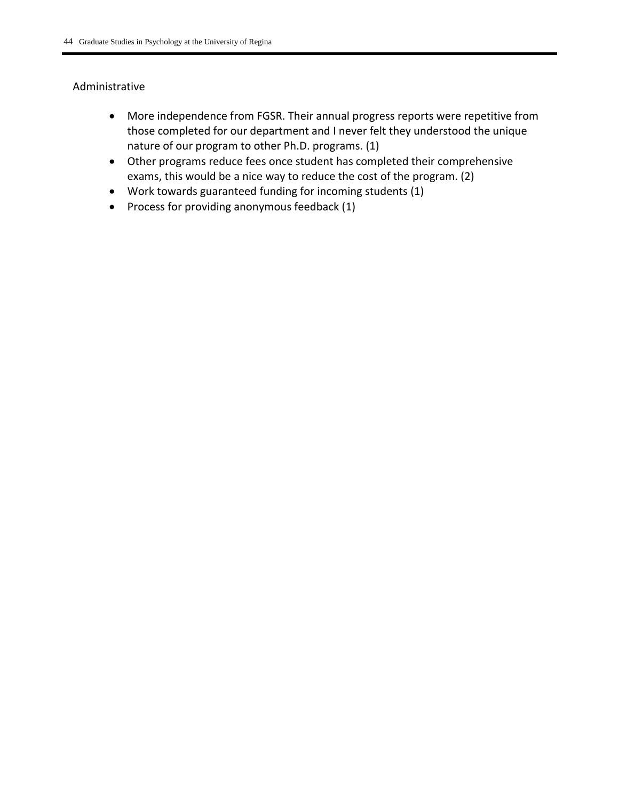### Administrative

- More independence from FGSR. Their annual progress reports were repetitive from those completed for our department and I never felt they understood the unique nature of our program to other Ph.D. programs. (1)
- Other programs reduce fees once student has completed their comprehensive exams, this would be a nice way to reduce the cost of the program. (2)
- Work towards guaranteed funding for incoming students (1)
- Process for providing anonymous feedback (1)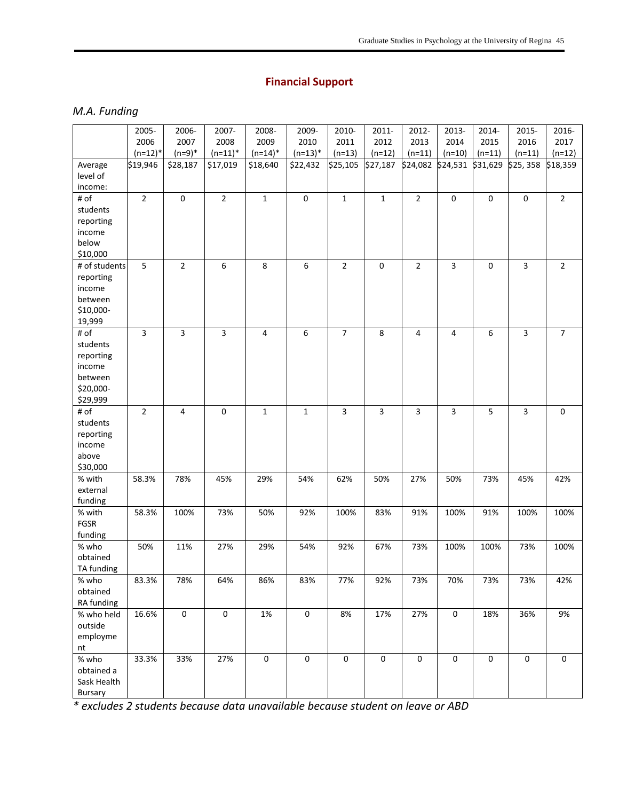# **Financial Support**

### *M.A. Funding*

|               | 2005-          | 2006-          | 2007-          | 2008-       | 2009-            | 2010-          | 2011-          | 2012-            | 2013-            | 2014-            | 2015-            | 2016-               |
|---------------|----------------|----------------|----------------|-------------|------------------|----------------|----------------|------------------|------------------|------------------|------------------|---------------------|
|               | 2006           | 2007           | 2008           | 2009        | 2010             | 2011           | 2012           | 2013             | 2014             | 2015             | 2016             | 2017                |
|               | $(n=12)^*$     | $(n=9)*$       | $(n=11)^*$     | $(n=14)^*$  | $(n=13)*$        | $(n=13)$       | $(n=12)$       | $(n=11)$         | $(n=10)$         | $(n=11)$         | $(n=11)$         | $(n=12)$            |
| Average       | \$19,946       | \$28,187       | \$17,019       | \$18,640    | \$22,432         | \$25,105       | \$27,187       | \$24,082         | \$24,531         | \$31,629         | \$25,358         | \$18,359            |
| level of      |                |                |                |             |                  |                |                |                  |                  |                  |                  |                     |
| income:       |                |                |                |             |                  |                |                |                  |                  |                  |                  |                     |
| # of          | $\overline{2}$ | $\pmb{0}$      | $\overline{2}$ | $\mathbf 1$ | $\pmb{0}$        | $\mathbf{1}$   | $\mathbf 1$    | $\sqrt{2}$       | $\boldsymbol{0}$ | $\mathbf 0$      | $\pmb{0}$        | $\overline{2}$      |
| students      |                |                |                |             |                  |                |                |                  |                  |                  |                  |                     |
| reporting     |                |                |                |             |                  |                |                |                  |                  |                  |                  |                     |
| income        |                |                |                |             |                  |                |                |                  |                  |                  |                  |                     |
| below         |                |                |                |             |                  |                |                |                  |                  |                  |                  |                     |
| \$10,000      |                |                |                |             |                  |                |                |                  |                  |                  |                  |                     |
| # of students | 5              | $\overline{2}$ | 6              | 8           | $\boldsymbol{6}$ | $\overline{2}$ | $\pmb{0}$      | $\overline{2}$   | $\overline{3}$   | $\mathsf 0$      | $\overline{3}$   | $\overline{2}$      |
| reporting     |                |                |                |             |                  |                |                |                  |                  |                  |                  |                     |
| income        |                |                |                |             |                  |                |                |                  |                  |                  |                  |                     |
| between       |                |                |                |             |                  |                |                |                  |                  |                  |                  |                     |
| \$10,000-     |                |                |                |             |                  |                |                |                  |                  |                  |                  |                     |
| 19,999        |                |                |                |             |                  |                |                |                  |                  |                  |                  |                     |
| # of          | 3              | 3              | 3              | 4           | 6                | $\overline{7}$ | 8              | $\overline{4}$   | 4                | 6                | 3                | $\overline{7}$      |
| students      |                |                |                |             |                  |                |                |                  |                  |                  |                  |                     |
| reporting     |                |                |                |             |                  |                |                |                  |                  |                  |                  |                     |
| income        |                |                |                |             |                  |                |                |                  |                  |                  |                  |                     |
| between       |                |                |                |             |                  |                |                |                  |                  |                  |                  |                     |
| \$20,000-     |                |                |                |             |                  |                |                |                  |                  |                  |                  |                     |
| \$29,999      |                |                |                |             |                  |                |                |                  |                  |                  |                  |                     |
| # of          | $\mathbf 2$    | 4              | $\pmb{0}$      | $\mathbf 1$ | $\mathbf 1$      | $\overline{3}$ | $\overline{3}$ | $\overline{3}$   | $\overline{3}$   | 5                | 3                | $\mathbf 0$         |
| students      |                |                |                |             |                  |                |                |                  |                  |                  |                  |                     |
| reporting     |                |                |                |             |                  |                |                |                  |                  |                  |                  |                     |
| income        |                |                |                |             |                  |                |                |                  |                  |                  |                  |                     |
| above         |                |                |                |             |                  |                |                |                  |                  |                  |                  |                     |
| \$30,000      |                |                |                |             |                  |                |                |                  |                  |                  |                  |                     |
| % with        | 58.3%          | 78%            | 45%            | 29%         | 54%              | 62%            | 50%            | 27%              | 50%              | 73%              | 45%              | 42%                 |
| external      |                |                |                |             |                  |                |                |                  |                  |                  |                  |                     |
| funding       |                |                |                |             |                  |                |                |                  |                  |                  |                  |                     |
| % with        | 58.3%          | 100%           | 73%            | 50%         | 92%              | 100%           | 83%            | 91%              | 100%             | 91%              | 100%             | 100%                |
| FGSR          |                |                |                |             |                  |                |                |                  |                  |                  |                  |                     |
| funding       |                |                |                |             |                  |                |                |                  |                  |                  |                  |                     |
| % who         | 50%            | 11%            | 27%            | 29%         | 54%              | 92%            | 67%            | 73%              | 100%             | 100%             | 73%              | 100%                |
| obtained      |                |                |                |             |                  |                |                |                  |                  |                  |                  |                     |
| TA funding    |                |                |                |             |                  |                |                |                  |                  |                  |                  |                     |
| % who         | 83.3%          | 78%            | 64%            | 86%         | 83%              | 77%            | 92%            | 73%              | 70%              | 73%              | 73%              | 42%                 |
| obtained      |                |                |                |             |                  |                |                |                  |                  |                  |                  |                     |
| RA funding    |                |                |                |             |                  |                |                |                  |                  |                  |                  |                     |
| % who held    | 16.6%          | $\pmb{0}$      | $\pmb{0}$      | 1%          | $\pmb{0}$        | 8%             | 17%            | 27%              | $\mathbf 0$      | 18%              | 36%              | 9%                  |
| outside       |                |                |                |             |                  |                |                |                  |                  |                  |                  |                     |
| employme      |                |                |                |             |                  |                |                |                  |                  |                  |                  |                     |
| nt            |                |                |                |             |                  |                |                |                  |                  |                  |                  |                     |
| % who         | 33.3%          | 33%            | 27%            | $\pmb{0}$   | $\pmb{0}$        | $\pmb{0}$      | $\mathsf 0$    | $\boldsymbol{0}$ | $\pmb{0}$        | $\boldsymbol{0}$ | $\boldsymbol{0}$ | $\mathsf{O}\xspace$ |
| obtained a    |                |                |                |             |                  |                |                |                  |                  |                  |                  |                     |
| Sask Health   |                |                |                |             |                  |                |                |                  |                  |                  |                  |                     |
| Bursary       |                |                |                |             |                  |                |                |                  |                  |                  |                  |                     |

*\* excludes 2 students because data unavailable because student on leave or ABD*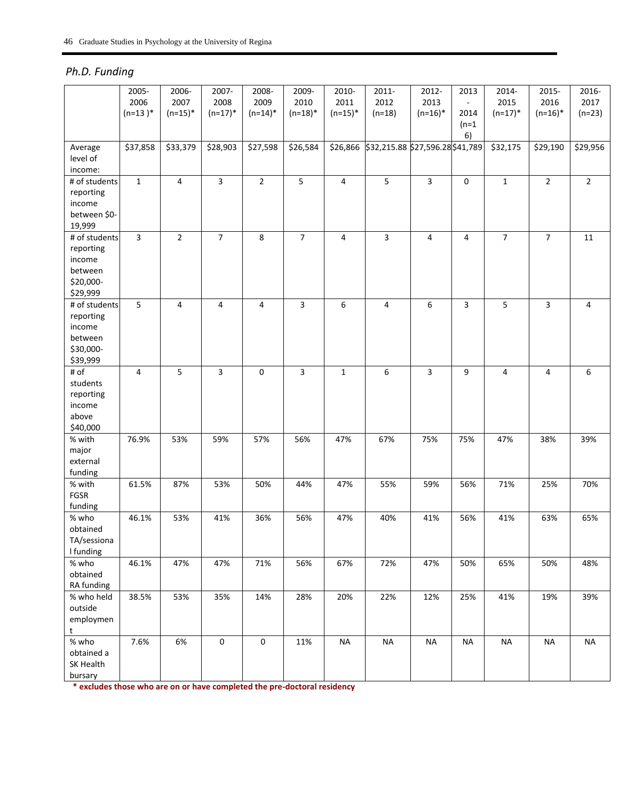# *Ph.D. Funding*

|               | 2005-                   | 2006-          | 2007-               | 2008-          | 2009-          | 2010-          | 2011-                            | 2012-          | 2013                     | 2014-          | 2015-          | 2016-          |
|---------------|-------------------------|----------------|---------------------|----------------|----------------|----------------|----------------------------------|----------------|--------------------------|----------------|----------------|----------------|
|               | 2006                    | 2007           | 2008                | 2009           | 2010           | 2011           | 2012                             | 2013           | $\overline{\phantom{a}}$ | 2015           | 2016           | 2017           |
|               | $(n=13)^*$              | $(n=15)^*$     | $(n=17)^*$          | $(n=14)^*$     | $(n=18)^*$     | $(n=15)*$      | $(n=18)$                         | $(n=16)^*$     | 2014                     | $(n=17)^*$     | $(n=16)^*$     | $(n=23)$       |
|               |                         |                |                     |                |                |                |                                  |                | $(n=1)$                  |                |                |                |
|               |                         |                |                     |                |                |                |                                  |                | 6)                       |                |                |                |
| Average       | \$37,858                | \$33,379       | \$28,903            | \$27,598       | \$26,584       | \$26,866       | \$32,215.88 \$27,596.28 \$41,789 |                |                          | \$32,175       | \$29,190       | \$29,956       |
| level of      |                         |                |                     |                |                |                |                                  |                |                          |                |                |                |
| income:       |                         |                |                     |                |                |                |                                  |                |                          |                |                |                |
| # of students | $\mathbf 1$             | $\overline{4}$ | $\overline{3}$      | $\overline{2}$ | $\overline{5}$ | $\overline{4}$ | $\overline{5}$                   | $\overline{3}$ | $\boldsymbol{0}$         | $\mathbf{1}$   | $\overline{2}$ | $\overline{2}$ |
| reporting     |                         |                |                     |                |                |                |                                  |                |                          |                |                |                |
| income        |                         |                |                     |                |                |                |                                  |                |                          |                |                |                |
| between \$0-  |                         |                |                     |                |                |                |                                  |                |                          |                |                |                |
| 19,999        |                         |                |                     |                |                |                |                                  |                |                          |                |                |                |
| # of students | $\overline{\mathbf{3}}$ | $\overline{2}$ | $\overline{7}$      | 8              | $\overline{7}$ | $\overline{4}$ | 3                                | $\overline{4}$ | $\overline{4}$           | $\overline{7}$ | $\overline{7}$ |                |
|               |                         |                |                     |                |                |                |                                  |                |                          |                |                | 11             |
| reporting     |                         |                |                     |                |                |                |                                  |                |                          |                |                |                |
| income        |                         |                |                     |                |                |                |                                  |                |                          |                |                |                |
| between       |                         |                |                     |                |                |                |                                  |                |                          |                |                |                |
| \$20,000-     |                         |                |                     |                |                |                |                                  |                |                          |                |                |                |
| \$29,999      |                         |                |                     |                |                |                |                                  |                |                          |                |                |                |
| # of students | 5                       | 4              | 4                   | 4              | $\overline{3}$ | 6              | $\overline{4}$                   | 6              | $\overline{3}$           | 5              | $\overline{3}$ | 4              |
| reporting     |                         |                |                     |                |                |                |                                  |                |                          |                |                |                |
| income        |                         |                |                     |                |                |                |                                  |                |                          |                |                |                |
| between       |                         |                |                     |                |                |                |                                  |                |                          |                |                |                |
| \$30,000-     |                         |                |                     |                |                |                |                                  |                |                          |                |                |                |
| \$39,999      |                         |                |                     |                |                |                |                                  |                |                          |                |                |                |
| # of          | 4                       | 5              | 3                   | 0              | $\overline{3}$ | $\mathbf{1}$   | 6                                | $\overline{3}$ | 9                        | 4              | 4              | 6              |
| students      |                         |                |                     |                |                |                |                                  |                |                          |                |                |                |
| reporting     |                         |                |                     |                |                |                |                                  |                |                          |                |                |                |
| income        |                         |                |                     |                |                |                |                                  |                |                          |                |                |                |
| above         |                         |                |                     |                |                |                |                                  |                |                          |                |                |                |
| \$40,000      |                         |                |                     |                |                |                |                                  |                |                          |                |                |                |
| % with        | 76.9%                   | 53%            | 59%                 | 57%            | 56%            | 47%            | 67%                              | 75%            | 75%                      | 47%            | 38%            | 39%            |
| major         |                         |                |                     |                |                |                |                                  |                |                          |                |                |                |
| external      |                         |                |                     |                |                |                |                                  |                |                          |                |                |                |
| funding       |                         |                |                     |                |                |                |                                  |                |                          |                |                |                |
| % with        | 61.5%                   | 87%            | 53%                 | 50%            | 44%            | 47%            | 55%                              | 59%            | 56%                      | 71%            | 25%            | 70%            |
| FGSR          |                         |                |                     |                |                |                |                                  |                |                          |                |                |                |
| funding       |                         |                |                     |                |                |                |                                  |                |                          |                |                |                |
| % who         | 46.1%                   | 53%            | 41%                 | 36%            | 56%            | 47%            | 40%                              | 41%            | 56%                      | 41%            | 63%            | 65%            |
| obtained      |                         |                |                     |                |                |                |                                  |                |                          |                |                |                |
| TA/sessiona   |                         |                |                     |                |                |                |                                  |                |                          |                |                |                |
| I funding     |                         |                |                     |                |                |                |                                  |                |                          |                |                |                |
| % who         | 46.1%                   | 47%            | 47%                 | 71%            | 56%            | 67%            | 72%                              | 47%            | 50%                      | 65%            | 50%            | 48%            |
| obtained      |                         |                |                     |                |                |                |                                  |                |                          |                |                |                |
| RA funding    |                         |                |                     |                |                |                |                                  |                |                          |                |                |                |
| % who held    | 38.5%                   | 53%            | 35%                 | 14%            | 28%            | 20%            | 22%                              | 12%            | 25%                      | 41%            | 19%            | 39%            |
| outside       |                         |                |                     |                |                |                |                                  |                |                          |                |                |                |
| employmen     |                         |                |                     |                |                |                |                                  |                |                          |                |                |                |
| t             |                         |                |                     |                |                |                |                                  |                |                          |                |                |                |
| % who         | 7.6%                    | 6%             | $\mathsf{O}\xspace$ | 0              | 11%            | <b>NA</b>      | <b>NA</b>                        | <b>NA</b>      | <b>NA</b>                | <b>NA</b>      | <b>NA</b>      | <b>NA</b>      |
| obtained a    |                         |                |                     |                |                |                |                                  |                |                          |                |                |                |
| SK Health     |                         |                |                     |                |                |                |                                  |                |                          |                |                |                |
| bursary       |                         |                |                     |                |                |                |                                  |                |                          |                |                |                |
|               |                         |                |                     |                |                |                |                                  |                |                          |                |                |                |

**\* excludes those who are on or have completed the pre-doctoral residency**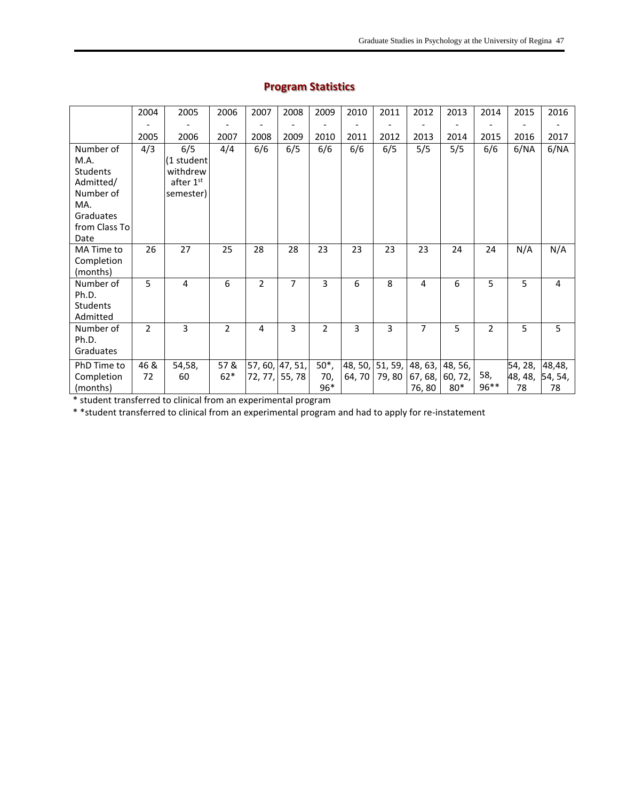|               | 2004           | 2005       | 2006           | 2007           | 2008            | 2009           | 2010   | 2011  | 2012           | 2013                            | 2014           | 2015    | 2016    |
|---------------|----------------|------------|----------------|----------------|-----------------|----------------|--------|-------|----------------|---------------------------------|----------------|---------|---------|
|               |                |            |                |                |                 |                |        |       |                |                                 |                |         |         |
|               | 2005           | 2006       | 2007           | 2008           | 2009            | 2010           | 2011   | 2012  | 2013           | 2014                            | 2015           | 2016    | 2017    |
| Number of     | 4/3            | 6/5        | 4/4            | 6/6            | 6/5             | 6/6            | 6/6    | 6/5   | 5/5            | 5/5                             | 6/6            | 6/NA    | 6/NA    |
| M.A.          |                | (1 student |                |                |                 |                |        |       |                |                                 |                |         |         |
| Students      |                | withdrew   |                |                |                 |                |        |       |                |                                 |                |         |         |
| Admitted/     |                | after 1st  |                |                |                 |                |        |       |                |                                 |                |         |         |
| Number of     |                | semester)  |                |                |                 |                |        |       |                |                                 |                |         |         |
| MA.           |                |            |                |                |                 |                |        |       |                |                                 |                |         |         |
| Graduates     |                |            |                |                |                 |                |        |       |                |                                 |                |         |         |
| from Class To |                |            |                |                |                 |                |        |       |                |                                 |                |         |         |
| Date          |                |            |                |                |                 |                |        |       |                |                                 |                |         |         |
| MA Time to    | 26             | 27         | 25             | 28             | 28              | 23             | 23     | 23    | 23             | 24                              | 24             | N/A     | N/A     |
| Completion    |                |            |                |                |                 |                |        |       |                |                                 |                |         |         |
| (months)      |                |            |                |                |                 |                |        |       |                |                                 |                |         |         |
| Number of     | 5              | 4          | 6              | $\overline{2}$ | 7               | 3              | 6      | 8     | 4              | 6                               | 5              | 5       | 4       |
| Ph.D.         |                |            |                |                |                 |                |        |       |                |                                 |                |         |         |
| Students      |                |            |                |                |                 |                |        |       |                |                                 |                |         |         |
| Admitted      |                |            |                |                |                 |                |        |       |                |                                 |                |         |         |
| Number of     | $\overline{2}$ | 3          | $\overline{2}$ | $\overline{4}$ | 3               | $\overline{2}$ | 3      | 3     | $\overline{7}$ | 5                               | $\overline{2}$ | 5       | 5       |
| Ph.D.         |                |            |                |                |                 |                |        |       |                |                                 |                |         |         |
| Graduates     |                |            |                |                |                 |                |        |       |                |                                 |                |         |         |
| PhD Time to   | 46 &           | 54,58,     | 57 &           |                | 57, 60, 47, 51, | $50^*$ ,       |        |       |                | 48, 50, 51, 59, 48, 63, 48, 56, |                | 54, 28, | 48,48,  |
| Completion    | 72             | 60         | $62*$          |                | 72, 77, 55, 78  | 70,            | 64, 70 | 79,80 | 67, 68,        | 60, 72,                         | 58,            | 48, 48, | 54, 54, |
| (months)      |                |            |                |                |                 | 96*            |        |       | 76,80          | $80*$                           | 96**           | 78      | 78      |

# **Program Statistics**

\* student transferred to clinical from an experimental program

\* \*student transferred to clinical from an experimental program and had to apply for re-instatement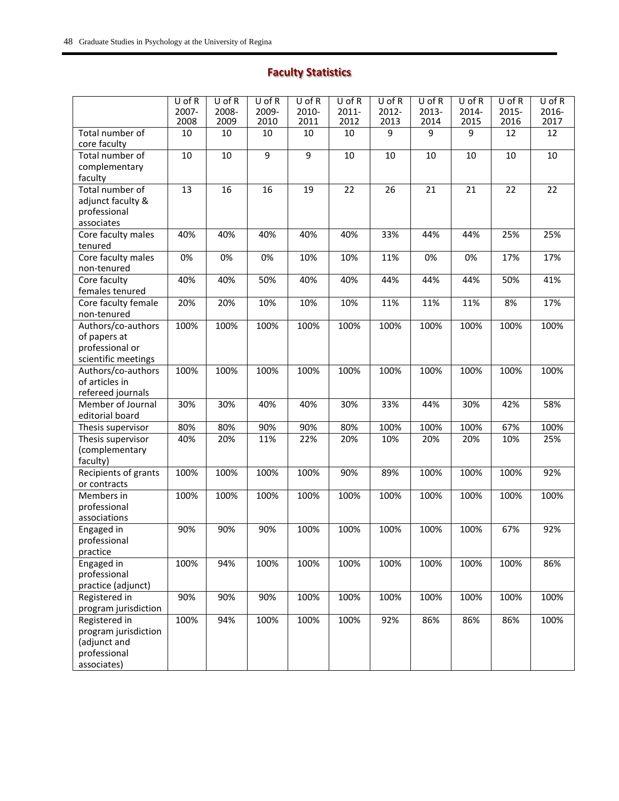# **Faculty Statistics**

|                                 | $U$ of R<br>2007-<br>2008 | $U$ of R<br>2008-<br>2009 | $U$ of R<br>2009-<br>2010 | $U$ of R<br>2010-<br>2011 | $U$ of R<br>2011-<br>2012 | $U$ of R<br>2012-<br>2013 | $U$ of R<br>2013-<br>2014 | $U$ of R<br>2014-<br>2015 | U of R<br>2015-<br>2016 | $U$ of R<br>2016-<br>2017 |
|---------------------------------|---------------------------|---------------------------|---------------------------|---------------------------|---------------------------|---------------------------|---------------------------|---------------------------|-------------------------|---------------------------|
| Total number of<br>core faculty | 10                        | 10                        | 10                        | 10                        | 10                        | 9                         | 9                         | 9                         | 12                      | 12                        |
| Total number of                 | 10                        | 10                        | $\overline{9}$            | $\overline{9}$            | 10                        | $10\,$                    | 10                        | 10                        | 10                      | 10                        |
| complementary                   |                           |                           |                           |                           |                           |                           |                           |                           |                         |                           |
| faculty                         |                           |                           |                           |                           |                           |                           |                           |                           |                         |                           |
| Total number of                 | 13                        | 16                        | 16                        | 19                        | 22                        | 26                        | 21                        | 21                        | 22                      | 22                        |
| adjunct faculty &               |                           |                           |                           |                           |                           |                           |                           |                           |                         |                           |
| professional                    |                           |                           |                           |                           |                           |                           |                           |                           |                         |                           |
| associates                      |                           |                           |                           |                           |                           |                           |                           |                           |                         |                           |
| Core faculty males              | 40%                       | 40%                       | 40%                       | 40%                       | 40%                       | 33%                       | 44%                       | 44%                       | 25%                     | 25%                       |
| tenured                         |                           |                           |                           |                           |                           |                           |                           |                           |                         |                           |
| Core faculty males              | 0%                        | 0%                        | 0%                        | 10%                       | 10%                       | 11%                       | 0%                        | 0%                        | 17%                     | 17%                       |
| non-tenured                     |                           |                           |                           |                           |                           |                           |                           |                           |                         |                           |
| Core faculty                    | 40%                       | 40%                       | 50%                       | 40%                       | 40%                       | 44%                       | 44%                       | 44%                       | 50%                     | 41%                       |
| females tenured                 |                           |                           |                           |                           |                           |                           |                           |                           |                         |                           |
| Core faculty female             | 20%                       | 20%                       | 10%                       | 10%                       | 10%                       | 11%                       | 11%                       | 11%                       | 8%                      | 17%                       |
| non-tenured                     |                           |                           |                           |                           |                           |                           |                           |                           |                         |                           |
| Authors/co-authors              | 100%                      | 100%                      | 100%                      | 100%                      | 100%                      | 100%                      | 100%                      | 100%                      | 100%                    | 100%                      |
| of papers at                    |                           |                           |                           |                           |                           |                           |                           |                           |                         |                           |
| professional or                 |                           |                           |                           |                           |                           |                           |                           |                           |                         |                           |
| scientific meetings             |                           |                           |                           |                           |                           |                           |                           |                           |                         |                           |
| Authors/co-authors              | 100%                      | 100%                      | 100%                      | 100%                      | 100%                      | 100%                      | 100%                      | 100%                      | 100%                    | 100%                      |
| of articles in                  |                           |                           |                           |                           |                           |                           |                           |                           |                         |                           |
| refereed journals               |                           |                           |                           |                           |                           |                           |                           |                           |                         |                           |
| Member of Journal               | 30%                       | 30%                       | 40%                       | 40%                       | 30%                       | 33%                       | 44%                       | 30%                       | 42%                     | 58%                       |
| editorial board                 |                           |                           |                           |                           |                           |                           |                           |                           |                         |                           |
| Thesis supervisor               | 80%                       | 80%                       | 90%                       | 90%                       | 80%                       | 100%                      | 100%                      | 100%                      | 67%                     | 100%                      |
| Thesis supervisor               | 40%                       | 20%                       | 11%                       | 22%                       | 20%                       | 10%                       | 20%                       | 20%                       | 10%                     | 25%                       |
| (complementary                  |                           |                           |                           |                           |                           |                           |                           |                           |                         |                           |
| faculty)                        |                           |                           |                           |                           |                           |                           |                           |                           |                         |                           |
| Recipients of grants            | 100%                      | 100%                      | 100%                      | 100%                      | 90%                       | 89%                       | 100%                      | 100%                      | 100%                    | 92%                       |
| or contracts                    |                           |                           |                           |                           |                           |                           |                           |                           |                         |                           |
| Members in                      | 100%                      | 100%                      | 100%                      | 100%                      | 100%                      | 100%                      | 100%                      | 100%                      | 100%                    | 100%                      |
| professional                    |                           |                           |                           |                           |                           |                           |                           |                           |                         |                           |
| associations                    |                           |                           |                           |                           |                           |                           |                           |                           |                         |                           |
| Engaged in                      | 90%                       | 90%                       | 90%                       | 100%                      | 100%                      | 100%                      | 100%                      | 100%                      | 67%                     | 92%                       |
| professional                    |                           |                           |                           |                           |                           |                           |                           |                           |                         |                           |
| practice                        |                           |                           |                           |                           |                           |                           |                           |                           |                         |                           |
| Engaged in                      | 100%                      | 94%                       | 100%                      | 100%                      | 100%                      | 100%                      | 100%                      | 100%                      | 100%                    | 86%                       |
| professional                    |                           |                           |                           |                           |                           |                           |                           |                           |                         |                           |
| practice (adjunct)              |                           |                           |                           |                           |                           |                           |                           |                           |                         |                           |
| Registered in                   | 90%                       | 90%                       | 90%                       | 100%                      | 100%                      | 100%                      | 100%                      | 100%                      | 100%                    | 100%                      |
| program jurisdiction            |                           |                           |                           |                           |                           |                           |                           |                           |                         |                           |
| Registered in                   | 100%                      | 94%                       | 100%                      | 100%                      | 100%                      | 92%                       | 86%                       | 86%                       | 86%                     | 100%                      |
| program jurisdiction            |                           |                           |                           |                           |                           |                           |                           |                           |                         |                           |
| (adjunct and                    |                           |                           |                           |                           |                           |                           |                           |                           |                         |                           |
| professional                    |                           |                           |                           |                           |                           |                           |                           |                           |                         |                           |
| associates)                     |                           |                           |                           |                           |                           |                           |                           |                           |                         |                           |